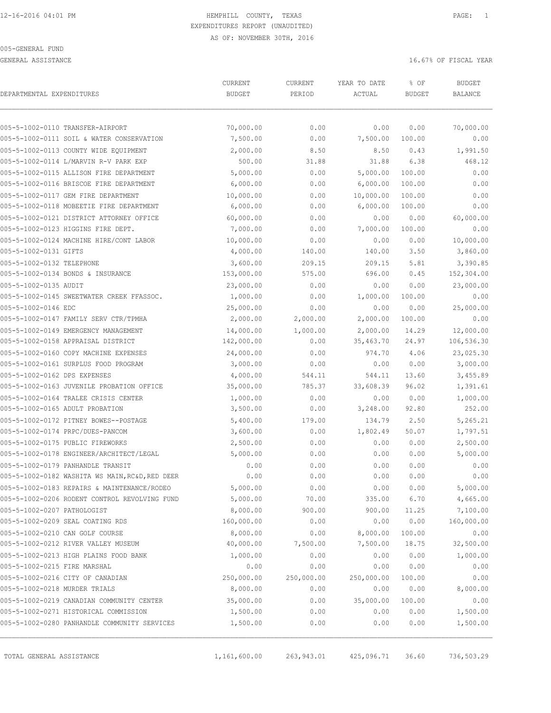GENERAL ASSISTANCE THE SERVICE OF TISCAL YEAR OF FISCAL YEAR OF TISCAL YEAR OF TISCAL YEAR OF THE SAME OF THE SAME OF THE SAME OF THE SAME OF THE SAME OF THE SAME OF THE SAME OF THE SAME OF THE SAME OF THE SAME OF THE SAME

| DEPARTMENTAL EXPENDITURES     | <b>CURRENT</b>                                  | CURRENT    | YEAR TO DATE | % OF          | <b>BUDGET</b>  |            |
|-------------------------------|-------------------------------------------------|------------|--------------|---------------|----------------|------------|
|                               | <b>BUDGET</b>                                   | PERIOD     | ACTUAL       | <b>BUDGET</b> | <b>BALANCE</b> |            |
|                               | 005-5-1002-0110 TRANSFER-AIRPORT                | 70,000.00  | 0.00         | 0.00          | 0.00           | 70,000.00  |
|                               | 005-5-1002-0111 SOIL & WATER CONSERVATION       | 7,500.00   | 0.00         | 7,500.00      | 100.00         | 0.00       |
|                               | 005-5-1002-0113 COUNTY WIDE EQUIPMENT           | 2,000.00   | 8.50         | 8.50          | 0.43           | 1,991.50   |
|                               | 005-5-1002-0114 L/MARVIN R-V PARK EXP           | 500.00     | 31.88        | 31.88         | 6.38           | 468.12     |
|                               | 005-5-1002-0115 ALLISON FIRE DEPARTMENT         | 5,000.00   | 0.00         | 5,000.00      | 100.00         | 0.00       |
|                               | 005-5-1002-0116 BRISCOE FIRE DEPARTMENT         | 6,000.00   | 0.00         | 6,000.00      | 100.00         | 0.00       |
|                               | 005-5-1002-0117 GEM FIRE DEPARTMENT             | 10,000.00  | 0.00         | 10,000.00     | 100.00         | 0.00       |
|                               | 005-5-1002-0118 MOBEETIE FIRE DEPARTMENT        | 6,000.00   | 0.00         | 6,000.00      | 100.00         | 0.00       |
|                               | 005-5-1002-0121 DISTRICT ATTORNEY OFFICE        | 60,000.00  | 0.00         | 0.00          | 0.00           | 60,000.00  |
|                               | 005-5-1002-0123 HIGGINS FIRE DEPT.              | 7,000.00   | 0.00         | 7,000.00      | 100.00         | 0.00       |
|                               | 005-5-1002-0124 MACHINE HIRE/CONT LABOR         | 10,000.00  | 0.00         | 0.00          | 0.00           | 10,000.00  |
| 005-5-1002-0131 GIFTS         |                                                 | 4,000.00   | 140.00       | 140.00        | 3.50           | 3,860.00   |
| 005-5-1002-0132 TELEPHONE     |                                                 | 3,600.00   | 209.15       | 209.15        | 5.81           | 3,390.85   |
|                               | 005-5-1002-0134 BONDS & INSURANCE               | 153,000.00 | 575.00       | 696.00        | 0.45           | 152,304.00 |
| 005-5-1002-0135 AUDIT         |                                                 | 23,000.00  | 0.00         | 0.00          | 0.00           | 23,000.00  |
|                               | 005-5-1002-0145 SWEETWATER CREEK FFASSOC.       | 1,000.00   | 0.00         | 1,000.00      | 100.00         | 0.00       |
| 005-5-1002-0146 EDC           |                                                 | 25,000.00  | 0.00         | 0.00          | 0.00           | 25,000.00  |
|                               | 005-5-1002-0147 FAMILY SERV CTR/TPMHA           | 2,000.00   | 2,000.00     | 2,000.00      | 100.00         | 0.00       |
|                               | 005-5-1002-0149 EMERGENCY MANAGEMENT            | 14,000.00  | 1,000.00     | 2,000.00      | 14.29          | 12,000.00  |
|                               | 005-5-1002-0158 APPRAISAL DISTRICT              | 142,000.00 | 0.00         | 35,463.70     | 24.97          | 106,536.30 |
|                               | 005-5-1002-0160 COPY MACHINE EXPENSES           | 24,000.00  | 0.00         | 974.70        | 4.06           | 23,025.30  |
|                               | 005-5-1002-0161 SURPLUS FOOD PROGRAM            | 3,000.00   | 0.00         | 0.00          | 0.00           | 3,000.00   |
| 005-5-1002-0162 DPS EXPENSES  |                                                 | 4,000.00   | 544.11       | 544.11        | 13.60          | 3,455.89   |
|                               | 005-5-1002-0163 JUVENILE PROBATION OFFICE       | 35,000.00  | 785.37       | 33,608.39     | 96.02          | 1,391.61   |
|                               | 005-5-1002-0164 TRALEE CRISIS CENTER            | 1,000.00   | 0.00         | 0.00          | 0.00           | 1,000.00   |
|                               | 005-5-1002-0165 ADULT PROBATION                 | 3,500.00   | 0.00         | 3,248.00      | 92.80          | 252.00     |
|                               | 005-5-1002-0172 PITNEY BOWES--POSTAGE           | 5,400.00   | 179.00       | 134.79        | 2.50           | 5,265.21   |
|                               | 005-5-1002-0174 PRPC/DUES-PANCOM                | 3,600.00   | 0.00         | 1,802.49      | 50.07          | 1,797.51   |
|                               | 005-5-1002-0175 PUBLIC FIREWORKS                | 2,500.00   | 0.00         | 0.00          | 0.00           | 2,500.00   |
|                               | 005-5-1002-0178 ENGINEER/ARCHITECT/LEGAL        | 5,000.00   | 0.00         | 0.00          | 0.00           | 5,000.00   |
|                               | 005-5-1002-0179 PANHANDLE TRANSIT               | 0.00       | 0.00         | 0.00          | 0.00           | 0.00       |
|                               | 005-5-1002-0182 WASHITA WS MAIN, RC&D, RED DEER | 0.00       | 0.00         | 0.00          | 0.00           | 0.00       |
|                               | 005-5-1002-0183 REPAIRS & MAINTENANCE/RODEO     | 5,000.00   | 0.00         | 0.00          | 0.00           | 5,000.00   |
|                               | 005-5-1002-0206 RODENT CONTROL REVOLVING FUND   | 5,000.00   | 70.00        | 335.00        | 6.70           | 4,665.00   |
| 005-5-1002-0207 PATHOLOGIST   |                                                 | 8,000.00   | 900.00       | 900.00        | 11.25          | 7,100.00   |
|                               | 005-5-1002-0209 SEAL COATING RDS                | 160,000.00 | 0.00         | 0.00          | 0.00           | 160,000.00 |
|                               | 005-5-1002-0210 CAN GOLF COURSE                 | 8,000.00   | 0.00         | 8,000.00      | 100.00         | 0.00       |
|                               | 005-5-1002-0212 RIVER VALLEY MUSEUM             | 40,000.00  | 7,500.00     | 7,500.00      | 18.75          | 32,500.00  |
|                               | 005-5-1002-0213 HIGH PLAINS FOOD BANK           | 1,000.00   | 0.00         | 0.00          | 0.00           | 1,000.00   |
| 005-5-1002-0215 FIRE MARSHAL  |                                                 | 0.00       | 0.00         | 0.00          | 0.00           | 0.00       |
|                               | 005-5-1002-0216 CITY OF CANADIAN                | 250,000.00 | 250,000.00   | 250,000.00    | 100.00         | 0.00       |
| 005-5-1002-0218 MURDER TRIALS |                                                 | 8,000.00   | 0.00         | 0.00          | 0.00           | 8,000.00   |
|                               | 005-5-1002-0219 CANADIAN COMMUNITY CENTER       | 35,000.00  | 0.00         | 35,000.00     | 100.00         | 0.00       |
|                               | 005-5-1002-0271 HISTORICAL COMMISSION           | 1,500.00   | 0.00         | 0.00          | 0.00           | 1,500.00   |
|                               | 005-5-1002-0280 PANHANDLE COMMUNITY SERVICES    | 1,500.00   | 0.00         | 0.00          | 0.00           | 1,500.00   |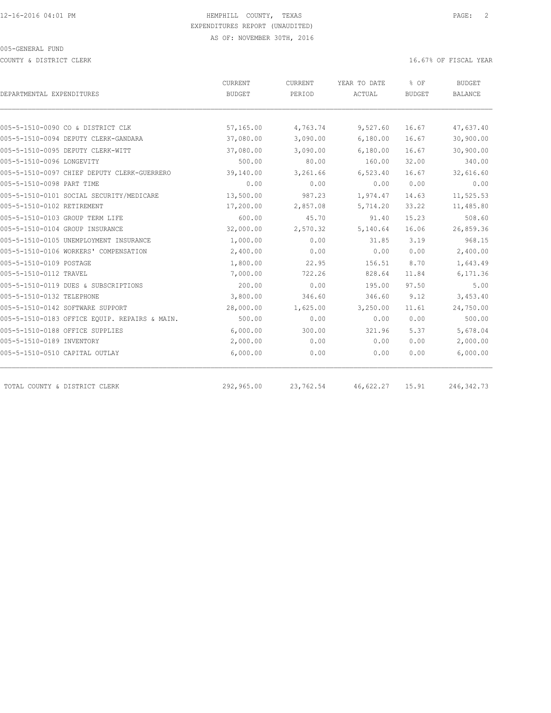COUNTY & DISTRICT CLERK 16.67% OF FISCAL YEAR

|                                               | <b>CURRENT</b> | CURRENT   | YEAR TO DATE | % OF          | <b>BUDGET</b>  |  |
|-----------------------------------------------|----------------|-----------|--------------|---------------|----------------|--|
| DEPARTMENTAL EXPENDITURES                     | <b>BUDGET</b>  | PERIOD    | ACTUAL       | <b>BUDGET</b> | <b>BALANCE</b> |  |
| 005-5-1510-0090 CO & DISTRICT CLK             | 57,165.00      | 4,763.74  | 9,527.60     | 16.67         | 47,637.40      |  |
| 005-5-1510-0094 DEPUTY CLERK-GANDARA          | 37,080.00      | 3,090.00  | 6,180.00     | 16.67         | 30,900.00      |  |
| 005-5-1510-0095 DEPUTY CLERK-WITT             | 37,080.00      | 3,090.00  | 6,180.00     | 16.67         | 30,900.00      |  |
| 005-5-1510-0096 LONGEVITY                     | 500.00         | 80.00     | 160.00       | 32.00         | 340.00         |  |
|                                               |                |           |              |               |                |  |
| 005-5-1510-0097 CHIEF DEPUTY CLERK-GUERRERO   | 39,140.00      | 3,261.66  | 6,523.40     | 16.67         | 32,616.60      |  |
| 005-5-1510-0098 PART TIME                     | 0.00           | 0.00      | 0.00         | 0.00          | 0.00           |  |
| 005-5-1510-0101 SOCIAL SECURITY/MEDICARE      | 13,500.00      | 987.23    | 1,974.47     | 14.63         | 11,525.53      |  |
| 005-5-1510-0102 RETIREMENT                    | 17,200.00      | 2,857.08  | 5,714.20     | 33.22         | 11,485.80      |  |
| 005-5-1510-0103 GROUP TERM LIFE               | 600.00         | 45.70     | 91.40        | 15.23         | 508.60         |  |
| 005-5-1510-0104 GROUP INSURANCE               | 32,000.00      | 2,570.32  | 5,140.64     | 16.06         | 26,859.36      |  |
| 005-5-1510-0105 UNEMPLOYMENT INSURANCE        | 1,000.00       | 0.00      | 31.85        | 3.19          | 968.15         |  |
| 005-5-1510-0106 WORKERS' COMPENSATION         | 2,400.00       | 0.00      | 0.00         | 0.00          | 2,400.00       |  |
| 005-5-1510-0109 POSTAGE                       | 1,800.00       | 22.95     | 156.51       | 8.70          | 1,643.49       |  |
| 005-5-1510-0112 TRAVEL                        | 7,000.00       | 722.26    | 828.64       | 11.84         | 6,171.36       |  |
| 005-5-1510-0119 DUES & SUBSCRIPTIONS          | 200.00         | 0.00      | 195.00       | 97.50         | 5.00           |  |
| 005-5-1510-0132 TELEPHONE                     | 3,800.00       | 346.60    | 346.60       | 9.12          | 3,453.40       |  |
| 005-5-1510-0142 SOFTWARE SUPPORT              | 28,000.00      | 1,625.00  | 3,250.00     | 11.61         | 24,750.00      |  |
| 005-5-1510-0183 OFFICE EQUIP. REPAIRS & MAIN. | 500.00         | 0.00      | 0.00         | 0.00          | 500.00         |  |
| 005-5-1510-0188 OFFICE SUPPLIES               | 6,000.00       | 300.00    | 321.96       | 5.37          | 5,678.04       |  |
| 005-5-1510-0189 INVENTORY                     | 2,000.00       | 0.00      | 0.00         | 0.00          | 2,000.00       |  |
| 005-5-1510-0510 CAPITAL OUTLAY                | 6,000.00       | 0.00      | 0.00         | 0.00          | 6,000.00       |  |
| TOTAL COUNTY & DISTRICT CLERK                 | 292,965.00     | 23,762.54 | 46,622.27    | 15.91         | 246, 342.73    |  |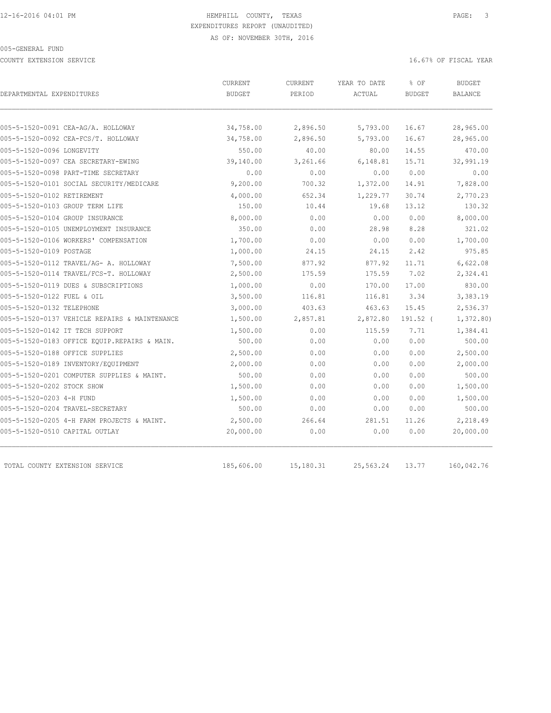COUNTY EXTENSION SERVICE **EXECUTE 16.67%** OF FISCAL YEAR

| DEPARTMENTAL EXPENDITURES                     | CURRENT<br><b>BUDGET</b> | CURRENT<br>PERIOD | YEAR TO DATE<br>ACTUAL | % OF<br><b>BUDGET</b> | <b>BUDGET</b><br><b>BALANCE</b> |
|-----------------------------------------------|--------------------------|-------------------|------------------------|-----------------------|---------------------------------|
|                                               |                          |                   |                        |                       |                                 |
| 005-5-1520-0091 CEA-AG/A. HOLLOWAY            | 34,758.00                | 2,896.50          | 5,793.00               | 16.67                 | 28,965.00                       |
| 005-5-1520-0092 CEA-FCS/T. HOLLOWAY           | 34,758.00                | 2,896.50          | 5,793.00               | 16.67                 | 28,965.00                       |
| 005-5-1520-0096 LONGEVITY                     | 550.00                   | 40.00             | 80.00                  | 14.55                 | 470.00                          |
| 005-5-1520-0097 CEA SECRETARY-EWING           | 39,140.00                | 3,261.66          | 6,148.81               | 15.71                 | 32,991.19                       |
| 005-5-1520-0098 PART-TIME SECRETARY           | 0.00                     | 0.00              | 0.00                   | 0.00                  | 0.00                            |
| 005-5-1520-0101 SOCIAL SECURITY/MEDICARE      | 9,200.00                 | 700.32            | 1,372.00               | 14.91                 | 7,828.00                        |
| 005-5-1520-0102 RETIREMENT                    | 4,000.00                 | 652.34            | 1,229.77               | 30.74                 | 2,770.23                        |
| 005-5-1520-0103 GROUP TERM LIFE               | 150.00                   | 10.44             | 19.68                  | 13.12                 | 130.32                          |
| 005-5-1520-0104 GROUP INSURANCE               | 8,000.00                 | 0.00              | 0.00                   | 0.00                  | 8,000.00                        |
| 005-5-1520-0105 UNEMPLOYMENT INSURANCE        | 350.00                   | 0.00              | 28.98                  | 8.28                  | 321.02                          |
| 005-5-1520-0106 WORKERS' COMPENSATION         | 1,700.00                 | 0.00              | 0.00                   | 0.00                  | 1,700.00                        |
| 005-5-1520-0109 POSTAGE                       | 1,000.00                 | 24.15             | 24.15                  | 2.42                  | 975.85                          |
| 005-5-1520-0112 TRAVEL/AG- A. HOLLOWAY        | 7,500.00                 | 877.92            | 877.92                 | 11.71                 | 6,622.08                        |
| 005-5-1520-0114 TRAVEL/FCS-T. HOLLOWAY        | 2,500.00                 | 175.59            | 175.59                 | 7.02                  | 2,324.41                        |
| 005-5-1520-0119 DUES & SUBSCRIPTIONS          | 1,000.00                 | 0.00              | 170.00                 | 17.00                 | 830.00                          |
| 005-5-1520-0122 FUEL & OIL                    | 3,500.00                 | 116.81            | 116.81                 | 3.34                  | 3,383.19                        |
| 005-5-1520-0132 TELEPHONE                     | 3,000.00                 | 403.63            | 463.63                 | 15.45                 | 2,536.37                        |
| 005-5-1520-0137 VEHICLE REPAIRS & MAINTENANCE | 1,500.00                 | 2,857.81          | 2,872.80               | 191.52 (              | 1,372.80                        |
| 005-5-1520-0142 IT TECH SUPPORT               | 1,500.00                 | 0.00              | 115.59                 | 7.71                  | 1,384.41                        |
| 005-5-1520-0183 OFFICE EQUIP.REPAIRS & MAIN.  | 500.00                   | 0.00              | 0.00                   | 0.00                  | 500.00                          |
| 005-5-1520-0188 OFFICE SUPPLIES               | 2,500.00                 | 0.00              | 0.00                   | 0.00                  | 2,500.00                        |
| 005-5-1520-0189 INVENTORY/EQUIPMENT           | 2,000.00                 | 0.00              | 0.00                   | 0.00                  | 2,000.00                        |
| 005-5-1520-0201 COMPUTER SUPPLIES & MAINT.    | 500.00                   | 0.00              | 0.00                   | 0.00                  | 500.00                          |
| 005-5-1520-0202 STOCK SHOW                    | 1,500.00                 | 0.00              | 0.00                   | 0.00                  | 1,500.00                        |
| 005-5-1520-0203 4-H FUND                      | 1,500.00                 | 0.00              | 0.00                   | 0.00                  | 1,500.00                        |
| 005-5-1520-0204 TRAVEL-SECRETARY              | 500.00                   | 0.00              | 0.00                   | 0.00                  | 500.00                          |
| 005-5-1520-0205 4-H FARM PROJECTS & MAINT.    | 2,500.00                 | 266.64            | 281.51                 | 11.26                 | 2,218.49                        |
| 005-5-1520-0510 CAPITAL OUTLAY                | 20,000.00                | 0.00              | 0.00                   | 0.00                  | 20,000.00                       |
| TOTAL COUNTY EXTENSION SERVICE                | 185,606.00               | 15,180.31         | 25,563.24              | 13.77                 | 160,042.76                      |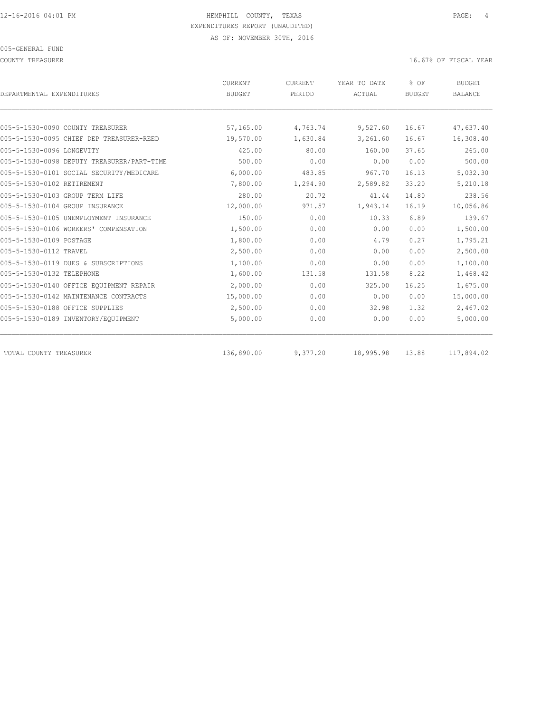COUNTY TREASURER **16.67%** OF FISCAL YEAR

| DEPARTMENTAL EXPENDITURES                  | <b>BUDGET</b> | PERIOD   | ACTUAL    | <b>BUDGET</b> | <b>BALANCE</b> |
|--------------------------------------------|---------------|----------|-----------|---------------|----------------|
|                                            |               |          |           |               |                |
|                                            |               |          |           |               |                |
| 005-5-1530-0090 COUNTY TREASURER           | 57,165.00     | 4,763.74 | 9,527.60  | 16.67         | 47,637.40      |
| 005-5-1530-0095 CHIEF DEP TREASURER-REED   | 19,570.00     | 1,630.84 | 3,261.60  | 16.67         | 16,308.40      |
| 005-5-1530-0096 LONGEVITY                  | 425.00        | 80.00    | 160.00    | 37.65         | 265.00         |
| 005-5-1530-0098 DEPUTY TREASURER/PART-TIME | 500.00        | 0.00     | 0.00      | 0.00          | 500.00         |
| 005-5-1530-0101 SOCIAL SECURITY/MEDICARE   | 6,000.00      | 483.85   | 967.70    | 16.13         | 5,032.30       |
| 005-5-1530-0102 RETIREMENT                 | 7,800.00      | 1,294.90 | 2,589.82  | 33.20         | 5,210.18       |
| 005-5-1530-0103 GROUP TERM LIFE            | 280.00        | 20.72    | 41.44     | 14.80         | 238.56         |
| 005-5-1530-0104 GROUP INSURANCE            | 12,000.00     | 971.57   | 1,943.14  | 16.19         | 10,056.86      |
| 005-5-1530-0105 UNEMPLOYMENT INSURANCE     | 150.00        | 0.00     | 10.33     | 6.89          | 139.67         |
| 005-5-1530-0106 WORKERS' COMPENSATION      | 1,500.00      | 0.00     | 0.00      | 0.00          | 1,500.00       |
| 005-5-1530-0109 POSTAGE                    | 1,800.00      | 0.00     | 4.79      | 0.27          | 1,795.21       |
| 005-5-1530-0112 TRAVEL                     | 2,500.00      | 0.00     | 0.00      | 0.00          | 2,500.00       |
| 005-5-1530-0119 DUES & SUBSCRIPTIONS       | 1,100.00      | 0.00     | 0.00      | 0.00          | 1,100.00       |
| 005-5-1530-0132 TELEPHONE                  | 1,600.00      | 131.58   | 131.58    | 8.22          | 1,468.42       |
| 005-5-1530-0140 OFFICE EOUIPMENT REPAIR    | 2,000.00      | 0.00     | 325.00    | 16.25         | 1,675.00       |
| 005-5-1530-0142 MAINTENANCE CONTRACTS      | 15,000.00     | 0.00     | 0.00      | 0.00          | 15,000.00      |
| 005-5-1530-0188 OFFICE SUPPLIES            | 2,500.00      | 0.00     | 32.98     | 1.32          | 2,467.02       |
| 005-5-1530-0189 INVENTORY/EQUIPMENT        | 5,000.00      | 0.00     | 0.00      | 0.00          | 5,000.00       |
| TOTAL COUNTY TREASURER                     | 136,890.00    | 9,377.20 | 18,995.98 | 13.88         | 117,894.02     |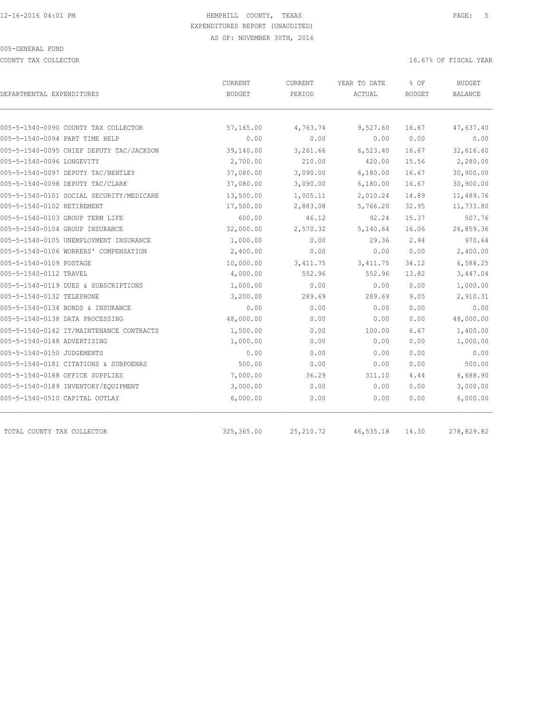COUNTY TAX COLLECTOR **Example 2008** 16.67% OF FISCAL YEAR

| DEPARTMENTAL EXPENDITURES                | CURRENT<br><b>BUDGET</b> | <b>CURRENT</b><br>PERIOD | YEAR TO DATE<br>ACTUAL | % OF<br><b>BUDGET</b> | <b>BUDGET</b><br>BALANCE |
|------------------------------------------|--------------------------|--------------------------|------------------------|-----------------------|--------------------------|
|                                          |                          |                          |                        |                       |                          |
| 005-5-1540-0090 COUNTY TAX COLLECTOR     | 57,165.00                | 4,763.74                 | 9,527.60               | 16.67                 | 47,637.40                |
| 005-5-1540-0094 PART TIME HELP           | 0.00                     | 0.00                     | 0.00                   | 0.00                  | 0.00                     |
| 005-5-1540-0095 CHIEF DEPUTY TAC/JACKSON | 39,140.00                | 3,261.66                 | 6,523.40               | 16.67                 | 32,616.60                |
| 005-5-1540-0096 LONGEVITY                | 2,700.00                 | 210.00                   | 420.00                 | 15.56                 | 2,280.00                 |
| 005-5-1540-0097 DEPUTY TAC/BENTLEY       | 37,080.00                | 3,090.00                 | 6,180.00               | 16.67                 | 30,900.00                |
| 005-5-1540-0098 DEPUTY TAC/CLARK         | 37,080.00                | 3,090.00                 | 6,180.00               | 16.67                 | 30,900.00                |
| 005-5-1540-0101 SOCIAL SECURITY/MEDICARE | 13,500.00                | 1,005.11                 | 2,010.24               | 14.89                 | 11,489.76                |
| 005-5-1540-0102 RETIREMENT               | 17,500.00                | 2,883.08                 | 5,766.20               | 32.95                 | 11,733.80                |
| 005-5-1540-0103 GROUP TERM LIFE          | 600.00                   | 46.12                    | 92.24                  | 15.37                 | 507.76                   |
| 005-5-1540-0104 GROUP INSURANCE          | 32,000.00                | 2,570.32                 | 5,140.64               | 16.06                 | 26,859.36                |
| 005-5-1540-0105 UNEMPLOYMENT INSURANCE   | 1,000.00                 | 0.00                     | 29.36                  | 2.94                  | 970.64                   |
| 005-5-1540-0106 WORKERS' COMPENSATION    | 2,400.00                 | 0.00                     | 0.00                   | 0.00                  | 2,400.00                 |
| 005-5-1540-0109 POSTAGE                  | 10,000.00                | 3,411.75                 | 3, 411.75              | 34.12                 | 6,588.25                 |
| 005-5-1540-0112 TRAVEL                   | 4,000.00                 | 552.96                   | 552.96                 | 13.82                 | 3,447.04                 |
| 005-5-1540-0119 DUES & SUBSCRIPTIONS     | 1,000.00                 | 0.00                     | 0.00                   | 0.00                  | 1,000.00                 |
| 005-5-1540-0132 TELEPHONE                | 3,200.00                 | 289.69                   | 289.69                 | 9.05                  | 2,910.31                 |
| 005-5-1540-0134 BONDS & INSURANCE        | 0.00                     | 0.00                     | 0.00                   | 0.00                  | 0.00                     |
| 005-5-1540-0138 DATA PROCESSING          | 48,000.00                | 0.00                     | 0.00                   | 0.00                  | 48,000.00                |
| 005-5-1540-0142 IT/MAINTENANCE CONTRACTS | 1,500.00                 | 0.00                     | 100.00                 | 6.67                  | 1,400.00                 |
| 005-5-1540-0148 ADVERTISING              | 1,000.00                 | 0.00                     | 0.00                   | 0.00                  | 1,000.00                 |
| 005-5-1540-0150 JUDGEMENTS               | 0.00                     | 0.00                     | 0.00                   | 0.00                  | 0.00                     |
| 005-5-1540-0181 CITATIONS & SUBPOENAS    | 500.00                   | 0.00                     | 0.00                   | 0.00                  | 500.00                   |
| 005-5-1540-0188 OFFICE SUPPLIES          | 7,000.00                 | 36.29                    | 311.10                 | 4.44                  | 6,688.90                 |
| 005-5-1540-0189 INVENTORY/EQUIPMENT      | 3,000.00                 | 0.00                     | 0.00                   | 0.00                  | 3,000.00                 |
| 005-5-1540-0510 CAPITAL OUTLAY           | 6,000.00                 | 0.00                     | 0.00                   | 0.00                  | 6,000.00                 |
| TOTAL COUNTY TAX COLLECTOR               | 325, 365.00              | 25, 210.72               | 46,535.18              | 14.30                 | 278,829.82               |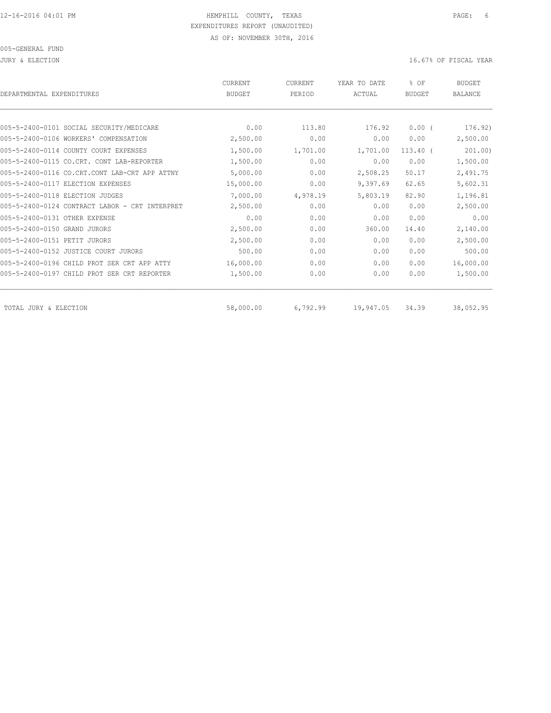| DEPARTMENTAL EXPENDITURES                      | CURRENT<br><b>BUDGET</b> | <b>CURRENT</b><br>PERIOD | YEAR TO DATE<br>ACTUAL | % OF<br><b>BUDGET</b> | <b>BUDGET</b><br><b>BALANCE</b> |
|------------------------------------------------|--------------------------|--------------------------|------------------------|-----------------------|---------------------------------|
|                                                |                          |                          |                        |                       |                                 |
| 005-5-2400-0101 SOCIAL SECURITY/MEDICARE       | 0.00                     | 113.80                   | 176.92                 | $0.00$ (              | 176.92)                         |
| 005-5-2400-0106 WORKERS' COMPENSATION          | 2,500.00                 | 0.00                     | 0.00                   | 0.00                  | 2,500.00                        |
| 005-5-2400-0114 COUNTY COURT EXPENSES          | 1,500.00                 | 1,701.00                 | 1,701.00               | $113.40$ $($          | 201.00                          |
| 005-5-2400-0115 CO.CRT. CONT LAB-REPORTER      | 1,500.00                 | 0.00                     | 0.00                   | 0.00                  | 1,500.00                        |
| 005-5-2400-0116 CO.CRT.CONT LAB-CRT APP ATTNY  | 5,000.00                 | 0.00                     | 2,508.25               | 50.17                 | 2,491.75                        |
| 005-5-2400-0117 ELECTION EXPENSES              | 15,000.00                | 0.00                     | 9,397.69               | 62.65                 | 5,602.31                        |
| 005-5-2400-0118 ELECTION JUDGES                | 7,000.00                 | 4,978.19                 | 5,803.19               | 82.90                 | 1,196.81                        |
| 005-5-2400-0124 CONTRACT LABOR - CRT INTERPRET | 2,500.00                 | 0.00                     | 0.00                   | 0.00                  | 2,500.00                        |
| 005-5-2400-0131 OTHER EXPENSE                  | 0.00                     | 0.00                     | 0.00                   | 0.00                  | 0.00                            |
| 005-5-2400-0150 GRAND JURORS                   | 2,500.00                 | 0.00                     | 360.00                 | 14.40                 | 2,140.00                        |
| 005-5-2400-0151 PETIT JURORS                   | 2,500.00                 | 0.00                     | 0.00                   | 0.00                  | 2,500.00                        |
| 005-5-2400-0152 JUSTICE COURT JURORS           | 500.00                   | 0.00                     | 0.00                   | 0.00                  | 500.00                          |
| 005-5-2400-0196 CHILD PROT SER CRT APP ATTY    | 16,000.00                | 0.00                     | 0.00                   | 0.00                  | 16,000.00                       |
| 005-5-2400-0197 CHILD PROT SER CRT REPORTER    | 1,500.00                 | 0.00                     | 0.00                   | 0.00                  | 1,500.00                        |
| TOTAL JURY & ELECTION                          | 58,000.00                | 6,792.99                 | 19,947.05              | 34.39                 | 38,052.95                       |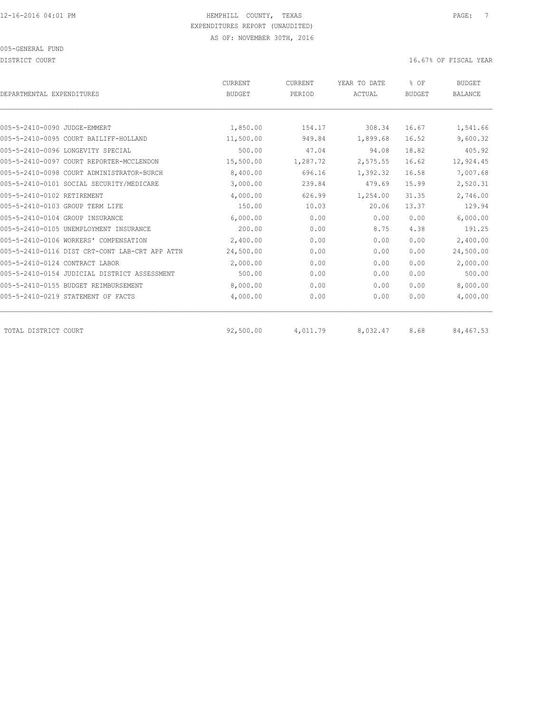DISTRICT COURT COURT COURT COURT COURT COURT COURT COURT COURT COURT COURT COURT COURT COURT COURT COURT COURT

| DEPARTMENTAL EXPENDITURES                      | CURRENT<br><b>BUDGET</b> | CURRENT<br>PERIOD | YEAR TO DATE<br>ACTUAL | % OF<br><b>BUDGET</b> | <b>BUDGET</b><br><b>BALANCE</b> |
|------------------------------------------------|--------------------------|-------------------|------------------------|-----------------------|---------------------------------|
|                                                |                          |                   |                        |                       |                                 |
| 005-5-2410-0090 JUDGE-EMMERT                   | 1,850.00                 | 154.17            | 308.34                 | 16.67                 | 1,541.66                        |
| 005-5-2410-0095 COURT BAILIFF-HOLLAND          | 11,500.00                | 949.84            | 1,899.68               | 16.52                 | 9,600.32                        |
| 005-5-2410-0096 LONGEVITY SPECIAL              | 500.00                   | 47.04             | 94.08                  | 18.82                 | 405.92                          |
| 005-5-2410-0097 COURT REPORTER-MCCLENDON       | 15,500.00                | 1,287.72          | 2,575.55               | 16.62                 | 12,924.45                       |
| 005-5-2410-0098 COURT ADMINISTRATOR-BURCH      | 8,400.00                 | 696.16            | 1,392.32               | 16.58                 | 7,007.68                        |
| 005-5-2410-0101 SOCIAL SECURITY/MEDICARE       | 3,000.00                 | 239.84            | 479.69                 | 15.99                 | 2,520.31                        |
| 005-5-2410-0102 RETIREMENT                     | 4,000.00                 | 626.99            | 1,254.00               | 31.35                 | 2,746.00                        |
| 005-5-2410-0103 GROUP TERM LIFE                | 150.00                   | 10.03             | 20.06                  | 13.37                 | 129.94                          |
| 005-5-2410-0104 GROUP INSURANCE                | 6,000.00                 | 0.00              | 0.00                   | 0.00                  | 6,000.00                        |
| 005-5-2410-0105 UNEMPLOYMENT INSURANCE         | 200.00                   | 0.00              | 8.75                   | 4.38                  | 191.25                          |
| 005-5-2410-0106 WORKERS' COMPENSATION          | 2,400.00                 | 0.00              | 0.00                   | 0.00                  | 2,400.00                        |
| 005-5-2410-0116 DIST CRT-CONT LAB-CRT APP ATTN | 24,500.00                | 0.00              | 0.00                   | 0.00                  | 24,500.00                       |
| 005-5-2410-0124 CONTRACT LABOR                 | 2,000.00                 | 0.00              | 0.00                   | 0.00                  | 2,000.00                        |
| 005-5-2410-0154 JUDICIAL DISTRICT ASSESSMENT   | 500.00                   | 0.00              | 0.00                   | 0.00                  | 500.00                          |
| 005-5-2410-0155 BUDGET REIMBURSEMENT           | 8,000.00                 | 0.00              | 0.00                   | 0.00                  | 8,000.00                        |
| 005-5-2410-0219 STATEMENT OF FACTS             | 4,000.00                 | 0.00              | 0.00                   | 0.00                  | 4,000.00                        |
| TOTAL DISTRICT COURT                           | 92,500.00                | 4,011.79          | 8,032.47               | 8.68                  | 84,467.53                       |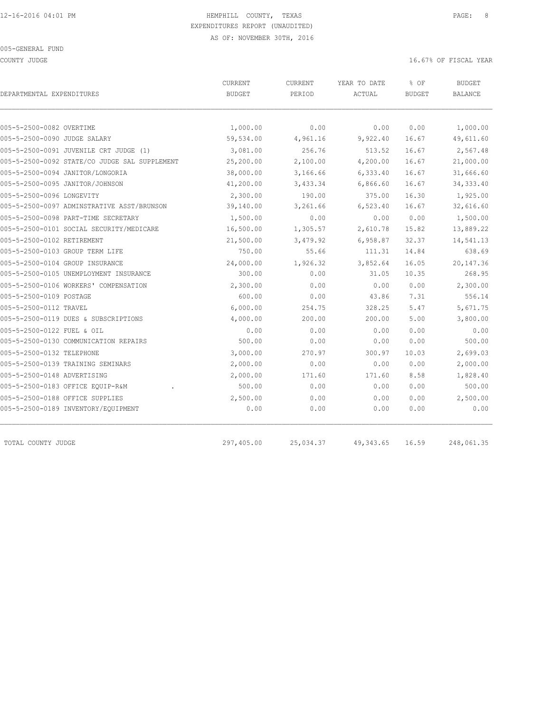COUNTY JUDGE 16.67% OF FISCAL YEAR

| DEPARTMENTAL EXPENDITURES                     | CURRENT<br><b>BUDGET</b> | CURRENT<br>PERIOD | YEAR TO DATE<br>ACTUAL | % OF<br><b>BUDGET</b> | <b>BUDGET</b><br><b>BALANCE</b> |
|-----------------------------------------------|--------------------------|-------------------|------------------------|-----------------------|---------------------------------|
|                                               |                          |                   |                        |                       |                                 |
| 005-5-2500-0082 OVERTIME                      | 1,000.00                 | 0.00              | 0.00                   | 0.00                  | 1,000.00                        |
| 005-5-2500-0090 JUDGE SALARY                  | 59,534.00                | 4,961.16          | 9,922.40               | 16.67                 | 49,611.60                       |
| 005-5-2500-0091 JUVENILE CRT JUDGE (1)        | 3,081.00                 | 256.76            | 513.52                 | 16.67                 | 2,567.48                        |
| 005-5-2500-0092 STATE/CO JUDGE SAL SUPPLEMENT | 25,200.00                | 2,100.00          | 4,200.00               | 16.67                 | 21,000.00                       |
| 005-5-2500-0094 JANITOR/LONGORIA              | 38,000.00                | 3,166.66          | 6,333.40               | 16.67                 | 31,666.60                       |
| 005-5-2500-0095 JANITOR/JOHNSON               | 41,200.00                | 3,433.34          | 6,866.60               | 16.67                 | 34, 333.40                      |
| 005-5-2500-0096 LONGEVITY                     | 2,300.00                 | 190.00            | 375.00                 | 16.30                 | 1,925.00                        |
| 005-5-2500-0097 ADMINSTRATIVE ASST/BRUNSON    | 39,140.00                | 3,261.66          | 6,523.40               | 16.67                 | 32,616.60                       |
| 005-5-2500-0098 PART-TIME SECRETARY           | 1,500.00                 | 0.00              | 0.00                   | 0.00                  | 1,500.00                        |
| 005-5-2500-0101 SOCIAL SECURITY/MEDICARE      | 16,500.00                | 1,305.57          | 2,610.78               | 15.82                 | 13,889.22                       |
| 005-5-2500-0102 RETIREMENT                    | 21,500.00                | 3,479.92          | 6,958.87               | 32.37                 | 14,541.13                       |
| 005-5-2500-0103 GROUP TERM LIFE               | 750.00                   | 55.66             | 111.31                 | 14.84                 | 638.69                          |
| 005-5-2500-0104 GROUP INSURANCE               | 24,000.00                | 1,926.32          | 3,852.64               | 16.05                 | 20,147.36                       |
| 005-5-2500-0105 UNEMPLOYMENT INSURANCE        | 300.00                   | 0.00              | 31.05                  | 10.35                 | 268.95                          |
| 005-5-2500-0106 WORKERS' COMPENSATION         | 2,300.00                 | 0.00              | 0.00                   | 0.00                  | 2,300.00                        |
| 005-5-2500-0109 POSTAGE                       | 600.00                   | 0.00              | 43.86                  | 7.31                  | 556.14                          |
| 005-5-2500-0112 TRAVEL                        | 6,000.00                 | 254.75            | 328.25                 | 5.47                  | 5,671.75                        |
| 005-5-2500-0119 DUES & SUBSCRIPTIONS          | 4,000.00                 | 200.00            | 200.00                 | 5.00                  | 3,800.00                        |
| 005-5-2500-0122 FUEL & OIL                    | 0.00                     | 0.00              | 0.00                   | 0.00                  | 0.00                            |
| 005-5-2500-0130 COMMUNICATION REPAIRS         | 500.00                   | 0.00              | 0.00                   | 0.00                  | 500.00                          |
| 005-5-2500-0132 TELEPHONE                     | 3,000.00                 | 270.97            | 300.97                 | 10.03                 | 2,699.03                        |
| 005-5-2500-0139 TRAINING SEMINARS             | 2,000.00                 | 0.00              | 0.00                   | 0.00                  | 2,000.00                        |
| 005-5-2500-0148 ADVERTISING                   | 2,000.00                 | 171.60            | 171.60                 | 8.58                  | 1,828.40                        |
| 005-5-2500-0183 OFFICE EQUIP-R&M              | 500.00                   | 0.00              | 0.00                   | 0.00                  | 500.00                          |
| 005-5-2500-0188 OFFICE SUPPLIES               | 2,500.00                 | 0.00              | 0.00                   | 0.00                  | 2,500.00                        |
| 005-5-2500-0189 INVENTORY/EQUIPMENT           | 0.00                     | 0.00              | 0.00                   | 0.00                  | 0.00                            |
| TOTAL COUNTY JUDGE                            | 297,405.00               | 25,034.37         | 49, 343.65             | 16.59                 | 248,061.35                      |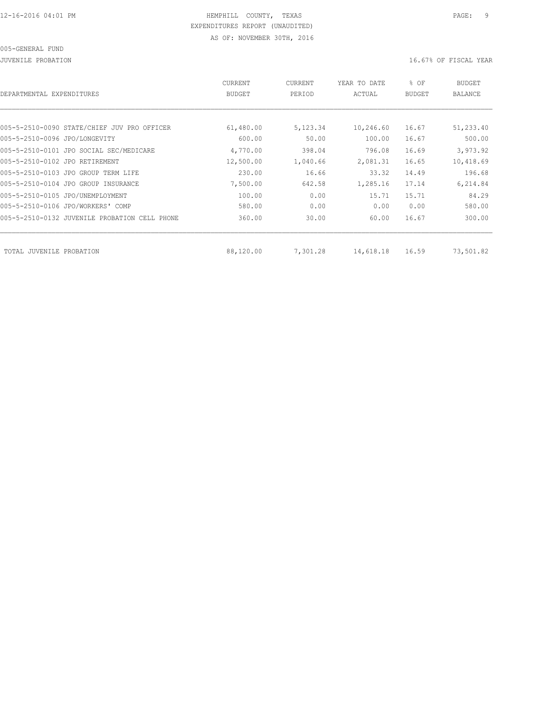JUVENILE PROBATION 16.67% OF FISCAL YEAR

| DEPARTMENTAL EXPENDITURES                     | <b>CURRENT</b><br><b>BUDGET</b> | CURRENT<br>PERIOD | YEAR TO DATE<br>ACTUAL | % OF<br><b>BUDGET</b> | <b>BUDGET</b><br>BALANCE |
|-----------------------------------------------|---------------------------------|-------------------|------------------------|-----------------------|--------------------------|
|                                               |                                 |                   |                        |                       |                          |
| 005-5-2510-0090 STATE/CHIEF JUV PRO OFFICER   | 61,480.00                       | 5,123.34          | 10,246.60              | 16.67                 | 51,233.40                |
| 005-5-2510-0096 JPO/LONGEVITY                 | 600.00                          | 50.00             | 100.00                 | 16.67                 | 500.00                   |
| 005-5-2510-0101 JPO SOCIAL SEC/MEDICARE       | 4,770.00                        | 398.04            | 796.08                 | 16.69                 | 3,973.92                 |
| 005-5-2510-0102 JPO RETIREMENT                | 12,500.00                       | 1,040.66          | 2,081.31               | 16.65                 | 10,418.69                |
| 005-5-2510-0103 JPO GROUP TERM LIFE           | 230.00                          | 16.66             | 33.32                  | 14.49                 | 196.68                   |
| 005-5-2510-0104 JPO GROUP INSURANCE           | 7,500.00                        | 642.58            | 1,285.16               | 17.14                 | 6,214.84                 |
| 005-5-2510-0105 JPO/UNEMPLOYMENT              | 100.00                          | 0.00              | 15.71                  | 15.71                 | 84.29                    |
| 005-5-2510-0106 JPO/WORKERS' COMP             | 580.00                          | 0.00              | 0.00                   | 0.00                  | 580.00                   |
| 005-5-2510-0132 JUVENILE PROBATION CELL PHONE | 360.00                          | 30.00             | 60.00                  | 16.67                 | 300.00                   |
|                                               |                                 |                   |                        |                       |                          |
| TOTAL JUVENILE<br>PROBATION                   | 88,120.00                       | 7,301.28          | 14,618.18              | 16.59                 | 73,501.82                |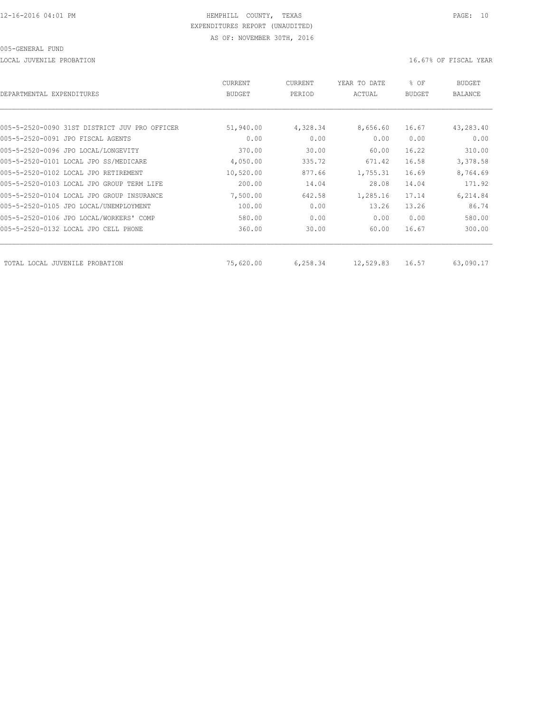LOCAL JUVENILE PROBATION 16.67% OF FISCAL YEAR

| DEPARTMENTAL EXPENDITURES                     | CURRENT<br><b>BUDGET</b> | CURRENT<br>PERIOD | YEAR TO DATE<br>ACTUAL | % OF<br><b>BUDGET</b> | <b>BUDGET</b><br><b>BALANCE</b> |
|-----------------------------------------------|--------------------------|-------------------|------------------------|-----------------------|---------------------------------|
|                                               |                          |                   |                        |                       |                                 |
| 005-5-2520-0090 31ST DISTRICT JUV PRO OFFICER | 51,940.00                | 4,328.34          | 8,656.60               | 16.67                 | 43,283.40                       |
| 005-5-2520-0091 JPO FISCAL AGENTS             | 0.00                     | 0.00              | 0.00                   | 0.00                  | 0.00                            |
| 005-5-2520-0096 JPO LOCAL/LONGEVITY           | 370.00                   | 30.00             | 60.00                  | 16.22                 | 310.00                          |
| 005-5-2520-0101 LOCAL JPO SS/MEDICARE         | 4,050.00                 | 335.72            | 671.42                 | 16.58                 | 3,378.58                        |
| 005-5-2520-0102 LOCAL JPO RETIREMENT          | 10,520.00                | 877.66            | 1,755.31               | 16.69                 | 8,764.69                        |
| 005-5-2520-0103 LOCAL JPO GROUP TERM LIFE     | 200.00                   | 14.04             | 28.08                  | 14.04                 | 171.92                          |
| 005-5-2520-0104 LOCAL JPO GROUP INSURANCE     | 7,500.00                 | 642.58            | 1,285.16               | 17.14                 | 6,214.84                        |
| 005-5-2520-0105 JPO LOCAL/UNEMPLOYMENT        | 100.00                   | 0.00              | 13.26                  | 13.26                 | 86.74                           |
| 005-5-2520-0106 JPO LOCAL/WORKERS' COMP       | 580.00                   | 0.00              | 0.00                   | 0.00                  | 580.00                          |
| 005-5-2520-0132 LOCAL JPO CELL PHONE          | 360.00                   | 30.00             | 60.00                  | 16.67                 | 300.00                          |
| TOTAL LOCAL JUVENILE PROBATION                | 75,620.00                | 6,258.34          | 12,529.83              | 16.57                 | 63,090.17                       |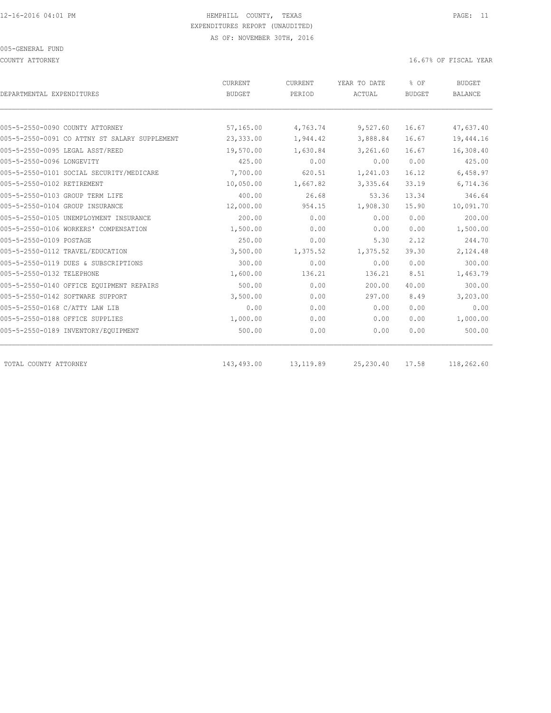COUNTY ATTORNEY 16.67% OF FISCAL YEAR

| DEPARTMENTAL EXPENDITURES                     | CURRENT<br><b>BUDGET</b> | CURRENT<br>PERIOD | YEAR TO DATE<br>ACTUAL | % OF<br><b>BUDGET</b> | <b>BUDGET</b><br><b>BALANCE</b> |
|-----------------------------------------------|--------------------------|-------------------|------------------------|-----------------------|---------------------------------|
|                                               |                          |                   |                        |                       |                                 |
| 005-5-2550-0090 COUNTY ATTORNEY               | 57,165.00                | 4,763.74          | 9,527.60               | 16.67                 | 47,637.40                       |
| 005-5-2550-0091 CO ATTNY ST SALARY SUPPLEMENT | 23,333.00                | 1,944.42          | 3,888.84               | 16.67                 | 19,444.16                       |
| 005-5-2550-0095 LEGAL ASST/REED               | 19,570.00                | 1,630.84          | 3,261.60               | 16.67                 | 16,308.40                       |
| 005-5-2550-0096 LONGEVITY                     | 425.00                   | 0.00              | 0.00                   | 0.00                  | 425.00                          |
| 005-5-2550-0101 SOCIAL SECURITY/MEDICARE      | 7,700.00                 | 620.51            | 1,241.03               | 16.12                 | 6,458.97                        |
| 005-5-2550-0102 RETIREMENT                    | 10,050.00                | 1,667.82          | 3,335.64               | 33.19                 | 6,714.36                        |
| 005-5-2550-0103 GROUP TERM LIFE               | 400.00                   | 26.68             | 53.36                  | 13.34                 | 346.64                          |
| 005-5-2550-0104 GROUP INSURANCE               | 12,000.00                | 954.15            | 1,908.30               | 15.90                 | 10,091.70                       |
| 005-5-2550-0105 UNEMPLOYMENT INSURANCE        | 200.00                   | 0.00              | 0.00                   | 0.00                  | 200.00                          |
| 005-5-2550-0106 WORKERS' COMPENSATION         | 1,500.00                 | 0.00              | 0.00                   | 0.00                  | 1,500.00                        |
| 005-5-2550-0109 POSTAGE                       | 250.00                   | 0.00              | 5.30                   | 2.12                  | 244.70                          |
| 005-5-2550-0112 TRAVEL/EDUCATION              | 3,500.00                 | 1,375.52          | 1,375.52               | 39.30                 | 2,124.48                        |
| 005-5-2550-0119 DUES & SUBSCRIPTIONS          | 300.00                   | 0.00              | 0.00                   | 0.00                  | 300.00                          |
| 005-5-2550-0132 TELEPHONE                     | 1,600.00                 | 136.21            | 136.21                 | 8.51                  | 1,463.79                        |
| 005-5-2550-0140 OFFICE EQUIPMENT REPAIRS      | 500.00                   | 0.00              | 200.00                 | 40.00                 | 300.00                          |
| 005-5-2550-0142 SOFTWARE SUPPORT              | 3,500.00                 | 0.00              | 297.00                 | 8.49                  | 3,203.00                        |
| 005-5-2550-0168 C/ATTY LAW LIB                | 0.00                     | 0.00              | 0.00                   | 0.00                  | 0.00                            |
| 005-5-2550-0188 OFFICE SUPPLIES               | 1,000.00                 | 0.00              | 0.00                   | 0.00                  | 1,000.00                        |
| 005-5-2550-0189 INVENTORY/EQUIPMENT           | 500.00                   | 0.00              | 0.00                   | 0.00                  | 500.00                          |
| TOTAL COUNTY ATTORNEY                         | 143,493.00               | 13, 119.89        | 25, 230.40             | 17.58                 | 118,262.60                      |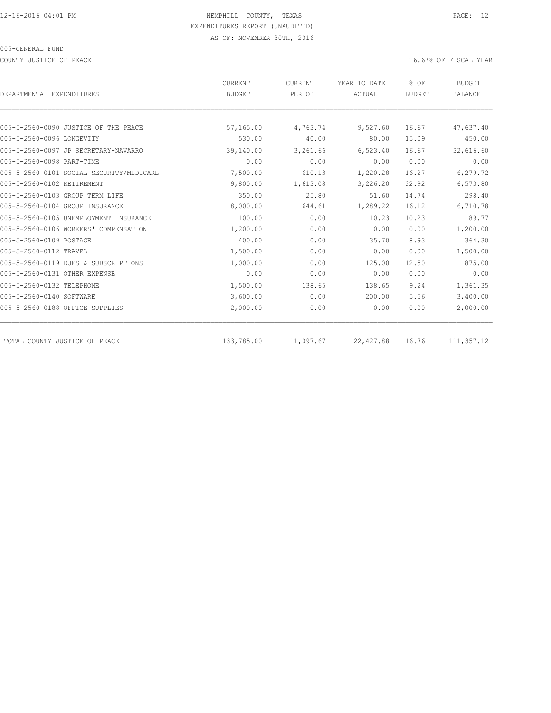COUNTY JUSTICE OF PEACE **16.67%** OF FISCAL YEAR

| DEPARTMENTAL EXPENDITURES                | CURRENT<br><b>BUDGET</b> | CURRENT<br>PERIOD | YEAR TO DATE<br>ACTUAL | % OF<br><b>BUDGET</b> | <b>BUDGET</b><br><b>BALANCE</b> |
|------------------------------------------|--------------------------|-------------------|------------------------|-----------------------|---------------------------------|
|                                          |                          |                   |                        |                       |                                 |
| 005-5-2560-0090 JUSTICE OF THE PEACE     | 57,165.00                | 4,763.74          | 9,527.60               | 16.67                 | 47,637.40                       |
| 005-5-2560-0096 LONGEVITY                | 530.00                   | 40.00             | 80.00                  | 15.09                 | 450.00                          |
| 005-5-2560-0097 JP SECRETARY-NAVARRO     | 39,140.00                | 3,261.66          | 6,523.40               | 16.67                 | 32,616.60                       |
| 005-5-2560-0098 PART-TIME                | 0.00                     | 0.00              | 0.00                   | 0.00                  | 0.00                            |
| 005-5-2560-0101 SOCIAL SECURITY/MEDICARE | 7,500.00                 | 610.13            | 1,220.28               | 16.27                 | 6,279.72                        |
| 005-5-2560-0102 RETIREMENT               | 9,800.00                 | 1,613.08          | 3,226.20               | 32.92                 | 6,573.80                        |
| 005-5-2560-0103 GROUP TERM LIFE          | 350.00                   | 25.80             | 51.60                  | 14.74                 | 298.40                          |
| 005-5-2560-0104 GROUP INSURANCE          | 8,000.00                 | 644.61            | 1,289.22               | 16.12                 | 6,710.78                        |
| 005-5-2560-0105 UNEMPLOYMENT INSURANCE   | 100.00                   | 0.00              | 10.23                  | 10.23                 | 89.77                           |
| 005-5-2560-0106 WORKERS' COMPENSATION    | 1,200.00                 | 0.00              | 0.00                   | 0.00                  | 1,200.00                        |
| 005-5-2560-0109 POSTAGE                  | 400.00                   | 0.00              | 35.70                  | 8.93                  | 364.30                          |
| 005-5-2560-0112 TRAVEL                   | 1,500.00                 | 0.00              | 0.00                   | 0.00                  | 1,500.00                        |
| 005-5-2560-0119 DUES & SUBSCRIPTIONS     | 1,000.00                 | 0.00              | 125.00                 | 12.50                 | 875.00                          |
| 005-5-2560-0131 OTHER EXPENSE            | 0.00                     | 0.00              | 0.00                   | 0.00                  | 0.00                            |
| 005-5-2560-0132 TELEPHONE                | 1,500.00                 | 138.65            | 138.65                 | 9.24                  | 1,361.35                        |
| 005-5-2560-0140 SOFTWARE                 | 3,600.00                 | 0.00              | 200.00                 | 5.56                  | 3,400.00                        |
| 005-5-2560-0188 OFFICE SUPPLIES          | 2,000.00                 | 0.00              | 0.00                   | 0.00                  | 2,000.00                        |
| TOTAL COUNTY JUSTICE OF PEACE            | 133,785.00               | 11,097.67         | 22,427.88              | 16.76                 | 111,357.12                      |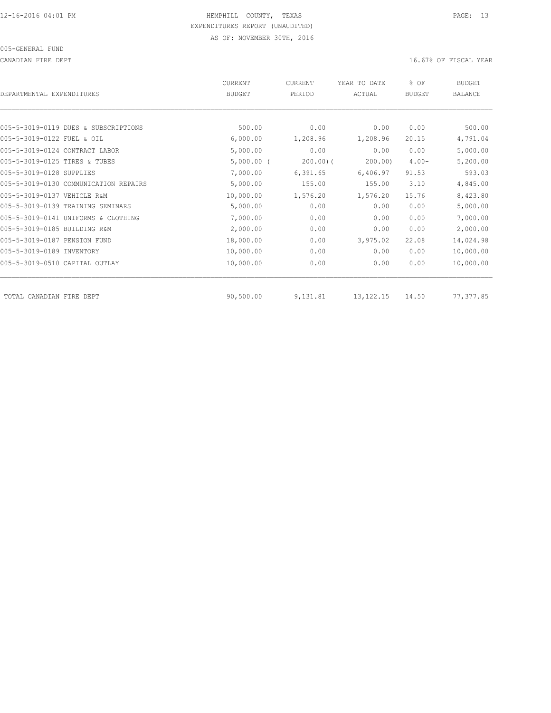CANADIAN FIRE DEPT **16.67%** OF FISCAL YEAR

| DEPARTMENTAL EXPENDITURES             | <b>CURRENT</b><br><b>BUDGET</b> | <b>CURRENT</b><br>PERIOD | YEAR TO DATE<br>ACTUAL | % OF<br><b>BUDGET</b> | <b>BUDGET</b><br><b>BALANCE</b> |
|---------------------------------------|---------------------------------|--------------------------|------------------------|-----------------------|---------------------------------|
|                                       |                                 |                          |                        |                       |                                 |
| 005-5-3019-0119 DUES & SUBSCRIPTIONS  | 500.00                          | 0.00                     | 0.00                   | 0.00                  | 500.00                          |
| 005-5-3019-0122 FUEL & OIL            | 6,000.00                        | 1,208.96                 | 1,208.96               | 20.15                 | 4,791.04                        |
| 005-5-3019-0124 CONTRACT LABOR        | 5,000.00                        | 0.00                     | 0.00                   | 0.00                  | 5,000.00                        |
| 005-5-3019-0125 TIRES & TUBES         | $5,000.00$ (                    | $200.00$ ) (             | 200.00                 | $4.00 -$              | 5,200.00                        |
| 005-5-3019-0128 SUPPLIES              | 7,000.00                        | 6, 391.65                | 6,406.97               | 91.53                 | 593.03                          |
| 005-5-3019-0130 COMMUNICATION REPAIRS | 5,000.00                        | 155.00                   | 155.00                 | 3.10                  | 4,845.00                        |
| 005-5-3019-0137 VEHICLE R&M           | 10,000.00                       | 1,576.20                 | 1,576.20               | 15.76                 | 8,423.80                        |
| 005-5-3019-0139 TRAINING SEMINARS     | 5,000.00                        | 0.00                     | 0.00                   | 0.00                  | 5,000.00                        |
| 005-5-3019-0141 UNIFORMS & CLOTHING   | 7,000.00                        | 0.00                     | 0.00                   | 0.00                  | 7,000.00                        |
| 005-5-3019-0185 BUILDING R&M          | 2,000.00                        | 0.00                     | 0.00                   | 0.00                  | 2,000.00                        |
| 005-5-3019-0187 PENSION FUND          | 18,000.00                       | 0.00                     | 3,975.02               | 22.08                 | 14,024.98                       |
| 005-5-3019-0189 INVENTORY             | 10,000.00                       | 0.00                     | 0.00                   | 0.00                  | 10,000.00                       |
| 005-5-3019-0510 CAPITAL OUTLAY        | 10,000.00                       | 0.00                     | 0.00                   | 0.00                  | 10,000.00                       |
| TOTAL CANADIAN FIRE DEPT              | 90,500.00                       | 9,131.81                 | 13, 122, 15            | 14.50                 | 77,377.85                       |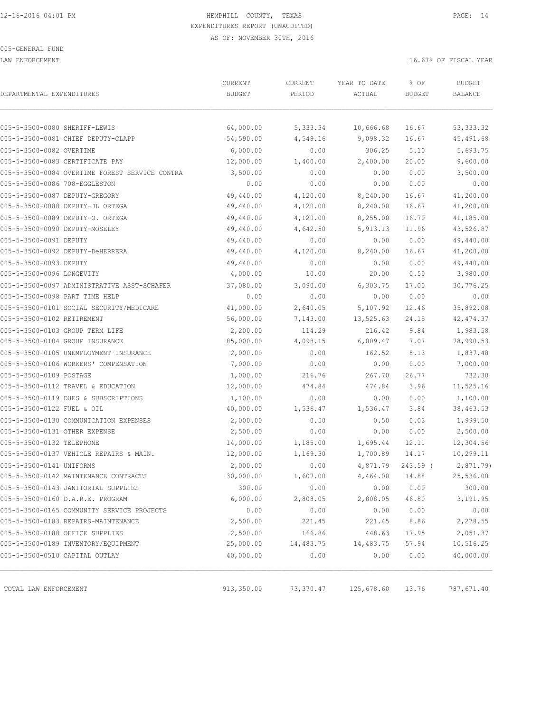LAW ENFORCEMENT **16.67%** OF FISCAL YEAR

| DEPARTMENTAL EXPENDITURES                                           | CURRENT<br><b>BUDGET</b> | CURRENT<br>PERIOD | YEAR TO DATE<br>ACTUAL | % OF<br><b>BUDGET</b> | <b>BUDGET</b><br>BALANCE |
|---------------------------------------------------------------------|--------------------------|-------------------|------------------------|-----------------------|--------------------------|
|                                                                     |                          |                   |                        |                       |                          |
| 005-5-3500-0080 SHERIFF-LEWIS<br>005-5-3500-0081 CHIEF DEPUTY-CLAPP | 64,000.00                | 5,333.34          | 10,666.68              | 16.67<br>16.67        | 53, 333.32<br>45,491.68  |
| 005-5-3500-0082 OVERTIME                                            | 54,590.00                | 4,549.16          | 9,098.32<br>306.25     | 5.10                  | 5,693.75                 |
| 005-5-3500-0083 CERTIFICATE PAY                                     | 6,000.00<br>12,000.00    | 0.00<br>1,400.00  | 2,400.00               | 20.00                 | 9,600.00                 |
| 005-5-3500-0084 OVERTIME FOREST SERVICE CONTRA                      | 3,500.00                 | 0.00              | 0.00                   | 0.00                  | 3,500.00                 |
| 005-5-3500-0086 708-EGGLESTON                                       | 0.00                     | 0.00              | 0.00                   | 0.00                  | 0.00                     |
| 005-5-3500-0087 DEPUTY-GREGORY                                      | 49,440.00                | 4,120.00          | 8,240.00               | 16.67                 | 41,200.00                |
| 005-5-3500-0088 DEPUTY-JL ORTEGA                                    | 49,440.00                | 4,120.00          | 8,240.00               | 16.67                 | 41,200.00                |
| 005-5-3500-0089 DEPUTY-O. ORTEGA                                    | 49,440.00                | 4,120.00          | 8,255.00               | 16.70                 | 41,185.00                |
| 005-5-3500-0090 DEPUTY-MOSELEY                                      | 49,440.00                | 4,642.50          | 5,913.13               | 11.96                 | 43,526.87                |
| 005-5-3500-0091 DEPUTY                                              | 49,440.00                | 0.00              | 0.00                   | 0.00                  | 49,440.00                |
| 005-5-3500-0092 DEPUTY-DeHERRERA                                    | 49,440.00                | 4,120.00          | 8,240.00               | 16.67                 | 41,200.00                |
| 005-5-3500-0093 DEPUTY                                              | 49,440.00                | 0.00              | 0.00                   | 0.00                  | 49,440.00                |
| 005-5-3500-0096 LONGEVITY                                           | 4,000.00                 | 10.00             | 20.00                  | 0.50                  | 3,980.00                 |
| 005-5-3500-0097 ADMINISTRATIVE ASST-SCHAFER                         | 37,080.00                | 3,090.00          | 6,303.75               | 17.00                 | 30,776.25                |
| 005-5-3500-0098 PART TIME HELP                                      | 0.00                     | 0.00              | 0.00                   | 0.00                  | 0.00                     |
| 005-5-3500-0101 SOCIAL SECURITY/MEDICARE                            | 41,000.00                | 2,640.05          | 5,107.92               | 12.46                 | 35,892.08                |
| 005-5-3500-0102 RETIREMENT                                          | 56,000.00                | 7,143.00          | 13,525.63              | 24.15                 | 42, 474.37               |
| 005-5-3500-0103 GROUP TERM LIFE                                     | 2,200.00                 | 114.29            | 216.42                 | 9.84                  | 1,983.58                 |
| 005-5-3500-0104 GROUP INSURANCE                                     | 85,000.00                | 4,098.15          | 6,009.47               | 7.07                  | 78,990.53                |
| 005-5-3500-0105 UNEMPLOYMENT INSURANCE                              | 2,000.00                 | 0.00              | 162.52                 | 8.13                  | 1,837.48                 |
| 005-5-3500-0106 WORKERS' COMPENSATION                               | 7,000.00                 | 0.00              | 0.00                   | 0.00                  | 7,000.00                 |
| 005-5-3500-0109 POSTAGE                                             | 1,000.00                 | 216.76            | 267.70                 | 26.77                 | 732.30                   |
| 005-5-3500-0112 TRAVEL & EDUCATION                                  | 12,000.00                | 474.84            | 474.84                 | 3.96                  | 11,525.16                |
| 005-5-3500-0119 DUES & SUBSCRIPTIONS                                | 1,100.00                 | 0.00              | 0.00                   | 0.00                  | 1,100.00                 |
| 005-5-3500-0122 FUEL & OIL                                          | 40,000.00                | 1,536.47          | 1,536.47               | 3.84                  | 38,463.53                |
| 005-5-3500-0130 COMMUNICATION EXPENSES                              | 2,000.00                 | 0.50              | 0.50                   | 0.03                  | 1,999.50                 |
| 005-5-3500-0131 OTHER EXPENSE                                       | 2,500.00                 | 0.00              | 0.00                   | 0.00                  | 2,500.00                 |
| 005-5-3500-0132 TELEPHONE                                           | 14,000.00                | 1,185.00          | 1,695.44               | 12.11                 | 12,304.56                |
| 005-5-3500-0137 VEHICLE REPAIRS & MAIN.                             | 12,000.00                | 1,169.30          | 1,700.89               | 14.17                 | 10,299.11                |
| 005-5-3500-0141 UNIFORMS                                            | 2,000.00                 | 0.00              | 4,871.79               | $243.59$ (            | 2,871.79                 |
| 005-5-3500-0142 MAINTENANCE CONTRACTS                               | 30,000.00                | 1,607.00          | 4,464.00               | 14.88                 | 25,536.00                |
| 005-5-3500-0143 JANITORIAL SUPPLIES                                 | 300.00                   | 0.00              | 0.00                   | 0.00                  | 300.00                   |
| 005-5-3500-0160 D.A.R.E. PROGRAM                                    | 6,000.00                 | 2,808.05          | 2,808.05               | 46.80                 | 3,191.95                 |
| 005-5-3500-0165 COMMUNITY SERVICE PROJECTS                          | 0.00                     | 0.00              | 0.00                   | 0.00                  | 0.00                     |
| 005-5-3500-0183 REPAIRS-MAINTENANCE                                 | 2,500.00                 | 221.45            | 221.45                 | 8.86                  | 2,278.55                 |
| 005-5-3500-0188 OFFICE SUPPLIES                                     | 2,500.00                 | 166.86            | 448.63                 | 17.95                 | 2,051.37                 |
| 005-5-3500-0189 INVENTORY/EQUIPMENT                                 | 25,000.00                | 14,483.75         | 14,483.75              | 57.94                 | 10,516.25                |
| 005-5-3500-0510 CAPITAL OUTLAY                                      | 40,000.00                | 0.00              | 0.00                   | 0.00                  | 40,000.00                |
| TOTAL LAW ENFORCEMENT                                               | 913,350.00               | 73,370.47         | 125,678.60             | 13.76                 | 787,671.40               |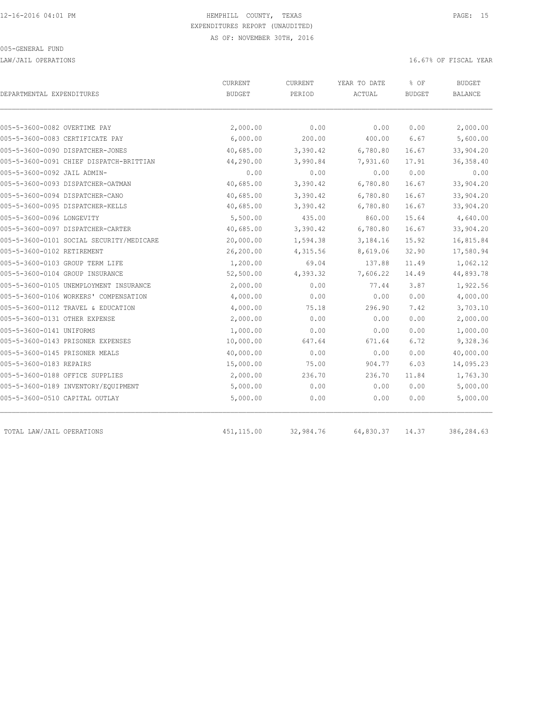LAW/JAIL OPERATIONS 16.67% OF FISCAL YEAR

| DEPARTMENTAL EXPENDITURES                | CURRENT<br><b>BUDGET</b> | <b>CURRENT</b><br>PERIOD | YEAR TO DATE<br>ACTUAL | % OF<br><b>BUDGET</b> | <b>BUDGET</b><br><b>BALANCE</b> |
|------------------------------------------|--------------------------|--------------------------|------------------------|-----------------------|---------------------------------|
| 005-5-3600-0082 OVERTIME PAY             | 2,000.00                 | 0.00                     | 0.00                   | 0.00                  | 2,000.00                        |
| 005-5-3600-0083 CERTIFICATE PAY          | 6,000.00                 | 200.00                   | 400.00                 | 6.67                  | 5,600.00                        |
| 005-5-3600-0090 DISPATCHER-JONES         | 40,685.00                | 3,390.42                 | 6,780.80               | 16.67                 | 33,904.20                       |
| 005-5-3600-0091 CHIEF DISPATCH-BRITTIAN  | 44,290.00                | 3,990.84                 | 7,931.60               | 17.91                 | 36, 358.40                      |
| 005-5-3600-0092 JAIL ADMIN-              | 0.00                     | 0.00                     | 0.00                   | 0.00                  | 0.00                            |
| 005-5-3600-0093 DISPATCHER-OATMAN        | 40,685.00                | 3,390.42                 | 6,780.80               | 16.67                 | 33,904.20                       |
| 005-5-3600-0094 DISPATCHER-CANO          | 40,685.00                | 3,390.42                 | 6,780.80               | 16.67                 | 33,904.20                       |
| 005-5-3600-0095 DISPATCHER-KELLS         | 40,685.00                | 3,390.42                 | 6,780.80               | 16.67                 | 33,904.20                       |
| 005-5-3600-0096 LONGEVITY                | 5,500.00                 | 435.00                   | 860.00                 | 15.64                 | 4,640.00                        |
| 005-5-3600-0097 DISPATCHER-CARTER        | 40,685.00                | 3,390.42                 | 6,780.80               | 16.67                 | 33,904.20                       |
| 005-5-3600-0101 SOCIAL SECURITY/MEDICARE | 20,000.00                | 1,594.38                 | 3,184.16               | 15.92                 | 16,815.84                       |
| 005-5-3600-0102 RETIREMENT               | 26,200.00                | 4,315.56                 | 8,619.06               | 32.90                 | 17,580.94                       |
| 005-5-3600-0103 GROUP TERM LIFE          | 1,200.00                 | 69.04                    | 137.88                 | 11.49                 | 1,062.12                        |
| 005-5-3600-0104 GROUP INSURANCE          | 52,500.00                | 4,393.32                 | 7,606.22               | 14.49                 | 44,893.78                       |
| 005-5-3600-0105 UNEMPLOYMENT INSURANCE   | 2,000.00                 | 0.00                     | 77.44                  | 3.87                  | 1,922.56                        |
| 005-5-3600-0106 WORKERS' COMPENSATION    | 4,000.00                 | 0.00                     | 0.00                   | 0.00                  | 4,000.00                        |
| 005-5-3600-0112 TRAVEL & EDUCATION       | 4,000.00                 | 75.18                    | 296.90                 | 7.42                  | 3,703.10                        |
| 005-5-3600-0131 OTHER EXPENSE            | 2,000.00                 | 0.00                     | 0.00                   | 0.00                  | 2,000.00                        |
| 005-5-3600-0141 UNIFORMS                 | 1,000.00                 | 0.00                     | 0.00                   | 0.00                  | 1,000.00                        |
| 005-5-3600-0143 PRISONER EXPENSES        | 10,000.00                | 647.64                   | 671.64                 | 6.72                  | 9,328.36                        |
| 005-5-3600-0145 PRISONER MEALS           | 40,000.00                | 0.00                     | 0.00                   | 0.00                  | 40,000.00                       |
| 005-5-3600-0183 REPAIRS                  | 15,000.00                | 75.00                    | 904.77                 | 6.03                  | 14,095.23                       |
| 005-5-3600-0188 OFFICE SUPPLIES          | 2,000.00                 | 236.70                   | 236.70                 | 11.84                 | 1,763.30                        |
| 005-5-3600-0189 INVENTORY/EQUIPMENT      | 5,000.00                 | 0.00                     | 0.00                   | 0.00                  | 5,000.00                        |
| 005-5-3600-0510 CAPITAL OUTLAY           | 5,000.00                 | 0.00                     | 0.00                   | 0.00                  | 5,000.00                        |
| TOTAL LAW/JAIL OPERATIONS                | 451,115.00               | 32,984.76                | 64,830.37              | 14.37                 | 386,284.63                      |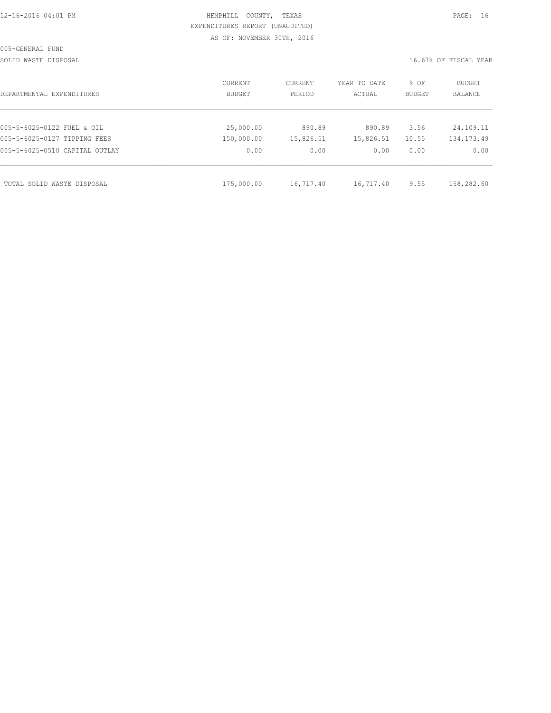|  |  |  |  |  | 12-16-2016 04:01 PM |
|--|--|--|--|--|---------------------|
|  |  |  |  |  |                     |

# HEMPHILL COUNTY, TEXAS **PAGE:** 16 EXPENDITURES REPORT (UNAUDITED) AS OF: NOVEMBER 30TH, 2016

SOLID WASTE DISPOSAL SOLID WASTE SERVER THE SOLID WASTER THE SOLID WASTER THE SOLID WASTER SERVER.

| DEPARTMENTAL EXPENDITURES      | CURRENT<br>BUDGET | CURRENT<br>PERIOD | YEAR TO DATE<br>ACTUAL | % OF<br>BUDGET | BUDGET<br><b>BALANCE</b> |
|--------------------------------|-------------------|-------------------|------------------------|----------------|--------------------------|
|                                |                   |                   |                        |                |                          |
| 005-5-6025-0122 FUEL & OIL     | 25,000.00         | 890.89            | 890.89                 | 3.56           | 24,109.11                |
| 005-5-6025-0127 TIPPING FEES   | 150,000.00        | 15,826.51         | 15,826.51              | 10.55          | 134, 173. 49             |
| 005-5-6025-0510 CAPITAL OUTLAY | 0.00              | 0.00              | 0.00                   | 0.00           | 0.00                     |
|                                |                   |                   |                        |                |                          |
| TOTAL SOLID WASTE DISPOSAL     | 175,000.00        | 16,717.40         | 16,717.40              | 9.55           | 158,282.60               |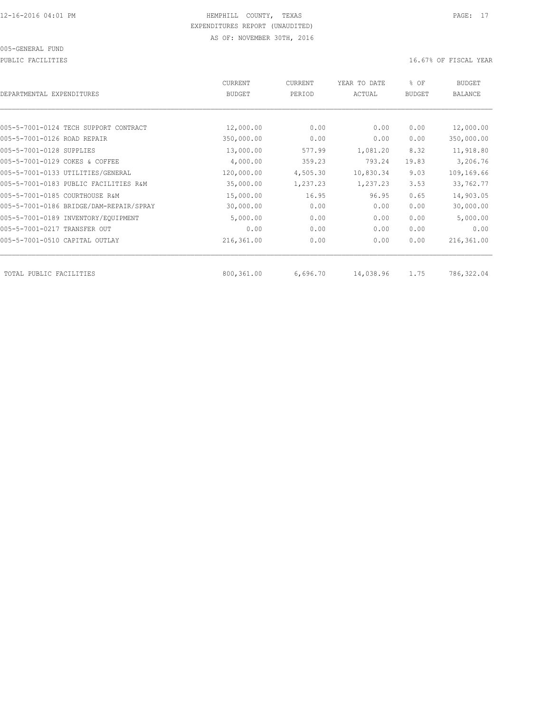### 005-GENERAL FUND

PUBLIC FACILITIES **16.67%** OF FISCAL YEAR

| DEPARTMENTAL EXPENDITURES               | <b>CURRENT</b><br><b>BUDGET</b> | CURRENT<br>PERIOD | YEAR TO DATE<br>ACTUAL | % OF<br><b>BUDGET</b> | <b>BUDGET</b><br>BALANCE |
|-----------------------------------------|---------------------------------|-------------------|------------------------|-----------------------|--------------------------|
|                                         |                                 |                   |                        |                       |                          |
| 005-5-7001-0124 TECH SUPPORT CONTRACT   | 12,000.00                       | 0.00              | 0.00                   | 0.00                  | 12,000.00                |
| 005-5-7001-0126 ROAD REPAIR             | 350,000.00                      | 0.00              | 0.00                   | 0.00                  | 350,000.00               |
| 005-5-7001-0128 SUPPLIES                | 13,000.00                       | 577.99            | 1,081.20               | 8.32                  | 11,918.80                |
| 005-5-7001-0129 COKES & COFFEE          | 4,000.00                        | 359.23            | 793.24                 | 19.83                 | 3,206.76                 |
| 005-5-7001-0133 UTILITIES/GENERAL       | 120,000.00                      | 4,505.30          | 10,830.34              | 9.03                  | 109,169.66               |
| 005-5-7001-0183 PUBLIC FACILITIES R&M   | 35,000.00                       | 1,237.23          | 1,237.23               | 3.53                  | 33,762.77                |
| 005-5-7001-0185 COURTHOUSE R&M          | 15,000.00                       | 16.95             | 96.95                  | 0.65                  | 14,903.05                |
| 005-5-7001-0186 BRIDGE/DAM-REPAIR/SPRAY | 30,000.00                       | 0.00              | 0.00                   | 0.00                  | 30,000.00                |
| 005-5-7001-0189 INVENTORY/EQUIPMENT     | 5,000.00                        | 0.00              | 0.00                   | 0.00                  | 5,000.00                 |
| 005-5-7001-0217 TRANSFER OUT            | 0.00                            | 0.00              | 0.00                   | 0.00                  | 0.00                     |
| 005-5-7001-0510 CAPITAL OUTLAY          | 216,361.00                      | 0.00              | 0.00                   | 0.00                  | 216,361.00               |
| TOTAL PUBLIC FACILITIES                 | 800,361.00                      | 6,696.70          | 14,038.96              | 1.75                  | 786,322.04               |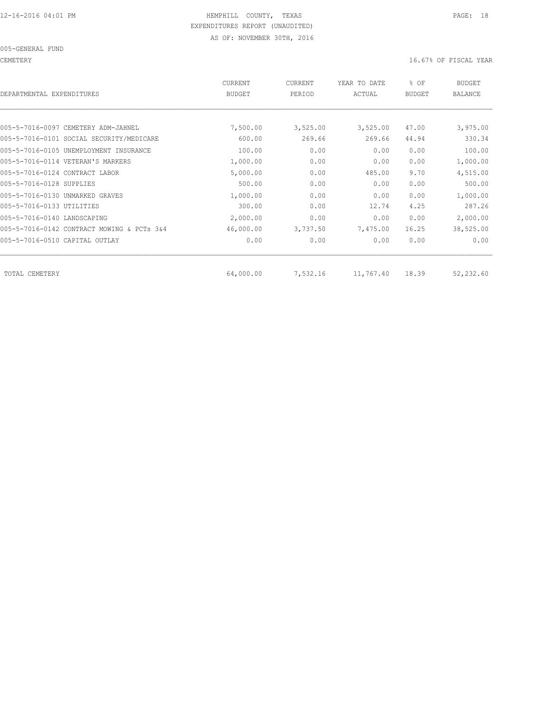CEMETERY 16.67% OF FISCAL YEAR

| DEPARTMENTAL EXPENDITURES                  | CURRENT<br><b>BUDGET</b> | CURRENT<br>PERIOD | YEAR TO DATE<br>ACTUAL | % OF<br><b>BUDGET</b> | BUDGET<br><b>BALANCE</b> |
|--------------------------------------------|--------------------------|-------------------|------------------------|-----------------------|--------------------------|
|                                            |                          |                   |                        |                       |                          |
| 005-5-7016-0097 CEMETERY ADM-JAHNEL        | 7,500.00                 | 3,525.00          | 3,525.00               | 47.00                 | 3,975.00                 |
| 005-5-7016-0101 SOCIAL SECURITY/MEDICARE   | 600.00                   | 269.66            | 269.66                 | 44.94                 | 330.34                   |
| 005-5-7016-0105 UNEMPLOYMENT INSURANCE     | 100.00                   | 0.00              | 0.00                   | 0.00                  | 100.00                   |
| 005-5-7016-0114 VETERAN'S MARKERS          | 1,000.00                 | 0.00              | 0.00                   | 0.00                  | 1,000.00                 |
| 005-5-7016-0124 CONTRACT LABOR             | 5,000.00                 | 0.00              | 485.00                 | 9.70                  | 4,515.00                 |
| 005-5-7016-0128 SUPPLIES                   | 500.00                   | 0.00              | 0.00                   | 0.00                  | 500.00                   |
| 005-5-7016-0130 UNMARKED GRAVES            | 1,000.00                 | 0.00              | 0.00                   | 0.00                  | 1,000.00                 |
| 005-5-7016-0133 UTILITIES                  | 300.00                   | 0.00              | 12.74                  | 4.25                  | 287.26                   |
| 005-5-7016-0140 LANDSCAPING                | 2,000.00                 | 0.00              | 0.00                   | 0.00                  | 2,000.00                 |
| 005-5-7016-0142 CONTRACT MOWING & PCTs 3&4 | 46,000.00                | 3,737.50          | 7,475.00               | 16.25                 | 38,525.00                |
| 005-5-7016-0510 CAPITAL OUTLAY             | 0.00                     | 0.00              | 0.00                   | 0.00                  | 0.00                     |
| TOTAL CEMETERY                             | 64,000.00                | 7,532.16          | 11,767.40              | 18.39                 | 52,232.60                |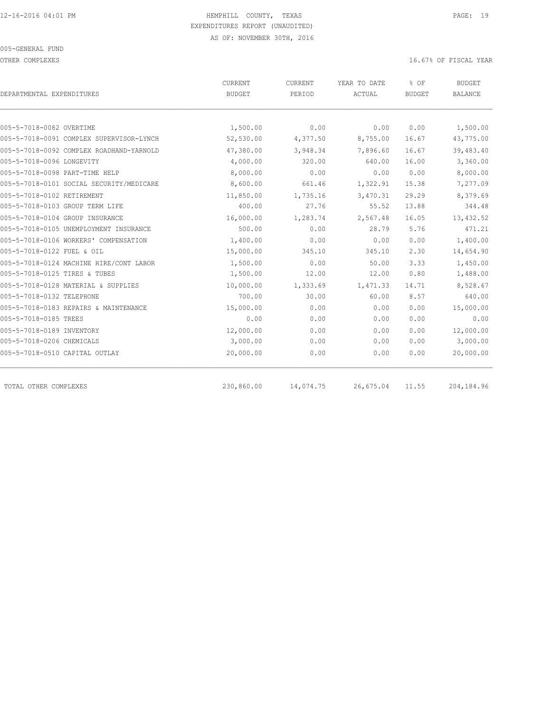OTHER COMPLEXES **OF SECONDITION**  $16.67$ % OF FISCAL YEAR

|                                          | <b>CURRENT</b> | CURRENT   | YEAR TO DATE | % OF          | <b>BUDGET</b>  |
|------------------------------------------|----------------|-----------|--------------|---------------|----------------|
| DEPARTMENTAL EXPENDITURES                | <b>BUDGET</b>  | PERIOD    | ACTUAL       | <b>BUDGET</b> | <b>BALANCE</b> |
|                                          |                |           |              |               |                |
| 005-5-7018-0082 OVERTIME                 | 1,500.00       | 0.00      | 0.00         | 0.00          | 1,500.00       |
| 005-5-7018-0091 COMPLEX SUPERVISOR-LYNCH | 52,530.00      | 4,377.50  | 8,755.00     | 16.67         | 43,775.00      |
| 005-5-7018-0092 COMPLEX ROADHAND-YARNOLD | 47,380.00      | 3,948.34  | 7,896.60     | 16.67         | 39,483.40      |
| 005-5-7018-0096 LONGEVITY                | 4,000.00       | 320.00    | 640.00       | 16.00         | 3,360.00       |
| 005-5-7018-0098 PART-TIME HELP           | 8,000.00       | 0.00      | 0.00         | 0.00          | 8,000.00       |
| 005-5-7018-0101 SOCIAL SECURITY/MEDICARE | 8,600.00       | 661.46    | 1,322.91     | 15.38         | 7,277.09       |
| 005-5-7018-0102 RETIREMENT               | 11,850.00      | 1,735.16  | 3,470.31     | 29.29         | 8,379.69       |
| 005-5-7018-0103 GROUP TERM LIFE          | 400.00         | 27.76     | 55.52        | 13.88         | 344.48         |
| 005-5-7018-0104 GROUP INSURANCE          | 16,000.00      | 1,283.74  | 2,567.48     | 16.05         | 13,432.52      |
| 005-5-7018-0105 UNEMPLOYMENT INSURANCE   | 500.00         | 0.00      | 28.79        | 5.76          | 471.21         |
| 005-5-7018-0106 WORKERS' COMPENSATION    | 1,400.00       | 0.00      | 0.00         | 0.00          | 1,400.00       |
| 005-5-7018-0122 FUEL & OIL               | 15,000.00      | 345.10    | 345.10       | 2.30          | 14,654.90      |
| 005-5-7018-0124 MACHINE HIRE/CONT LABOR  | 1,500.00       | 0.00      | 50.00        | 3.33          | 1,450.00       |
| 005-5-7018-0125 TIRES & TUBES            | 1,500.00       | 12.00     | 12.00        | 0.80          | 1,488.00       |
| 005-5-7018-0128 MATERIAL & SUPPLIES      | 10,000.00      | 1,333.69  | 1,471.33     | 14.71         | 8,528.67       |
| 005-5-7018-0132 TELEPHONE                | 700.00         | 30.00     | 60.00        | 8.57          | 640.00         |
| 005-5-7018-0183 REPAIRS & MAINTENANCE    | 15,000.00      | 0.00      | 0.00         | 0.00          | 15,000.00      |
| 005-5-7018-0185 TREES                    | 0.00           | 0.00      | 0.00         | 0.00          | 0.00           |
| 005-5-7018-0189 INVENTORY                | 12,000.00      | 0.00      | 0.00         | 0.00          | 12,000.00      |
| 005-5-7018-0206 CHEMICALS                | 3,000.00       | 0.00      | 0.00         | 0.00          | 3,000.00       |
| 005-5-7018-0510 CAPITAL OUTLAY           | 20,000.00      | 0.00      | 0.00         | 0.00          | 20,000.00      |
|                                          |                |           |              |               |                |
| TOTAL OTHER COMPLEXES                    | 230,860.00     | 14,074.75 | 26,675.04    | 11.55         | 204, 184.96    |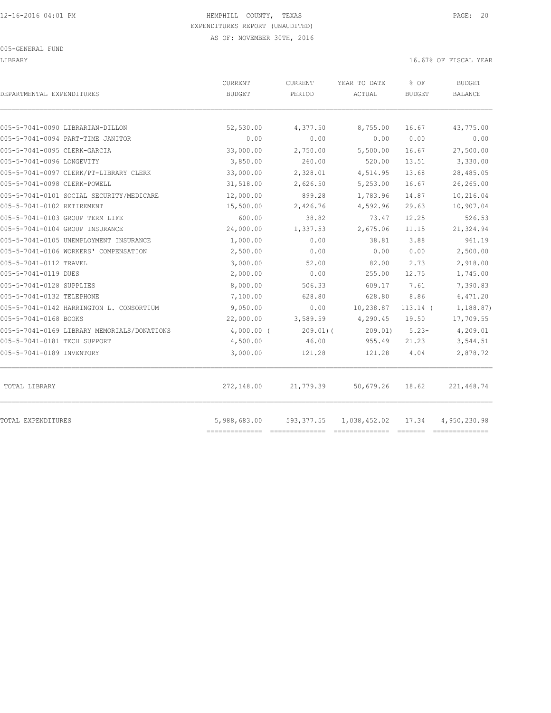#### 005-GENERAL FUND

#### LIBRARY 16.67% OF FISCAL YEAR

| DEPARTMENTAL EXPENDITURES                   | CURRENT<br><b>BUDGET</b> | CURRENT<br>PERIOD | YEAR TO DATE<br>ACTUAL | % OF<br><b>BUDGET</b> | <b>BUDGET</b><br>BALANCE |
|---------------------------------------------|--------------------------|-------------------|------------------------|-----------------------|--------------------------|
|                                             |                          |                   |                        |                       |                          |
| 005-5-7041-0090 LIBRARIAN-DILLON            | 52,530.00                | 4,377.50          | 8,755.00               | 16.67                 | 43,775.00                |
| 005-5-7041-0094 PART-TIME JANITOR           | 0.00                     | 0.00              | 0.00                   | 0.00                  | 0.00                     |
| 005-5-7041-0095 CLERK-GARCIA                | 33,000.00                | 2,750.00          | 5,500.00               | 16.67                 | 27,500.00                |
| 005-5-7041-0096 LONGEVITY                   | 3,850.00                 | 260.00            | 520.00                 | 13.51                 | 3,330.00                 |
| 005-5-7041-0097 CLERK/PT-LIBRARY CLERK      | 33,000.00                | 2,328.01          | 4,514.95               | 13.68                 | 28,485.05                |
| 005-5-7041-0098 CLERK-POWELL                | 31,518.00                | 2,626.50          | 5,253.00               | 16.67                 | 26,265.00                |
| 005-5-7041-0101 SOCIAL SECURITY/MEDICARE    | 12,000.00                | 899.28            | 1,783.96               | 14.87                 | 10,216.04                |
| 005-5-7041-0102 RETIREMENT                  | 15,500.00                | 2,426.76          | 4,592.96               | 29.63                 | 10,907.04                |
| 005-5-7041-0103 GROUP TERM LIFE             | 600.00                   | 38.82             | 73.47                  | 12.25                 | 526.53                   |
| 005-5-7041-0104 GROUP INSURANCE             | 24,000.00                | 1,337.53          | 2,675.06               | 11.15                 | 21,324.94                |
| 005-5-7041-0105 UNEMPLOYMENT INSURANCE      | 1,000.00                 | 0.00              | 38.81                  | 3.88                  | 961.19                   |
| 005-5-7041-0106 WORKERS' COMPENSATION       | 2,500.00                 | 0.00              | 0.00                   | 0.00                  | 2,500.00                 |
| 005-5-7041-0112 TRAVEL                      | 3,000.00                 | 52.00             | 82.00                  | 2.73                  | 2,918.00                 |
| 005-5-7041-0119 DUES                        | 2,000.00                 | 0.00              | 255.00                 | 12.75                 | 1,745.00                 |
| 005-5-7041-0128 SUPPLIES                    | 8,000.00                 | 506.33            | 609.17                 | 7.61                  | 7,390.83                 |
| 005-5-7041-0132 TELEPHONE                   | 7,100.00                 | 628.80            | 628.80                 | 8.86                  | 6,471.20                 |
| 005-5-7041-0142 HARRINGTON L. CONSORTIUM    | 9,050.00                 | 0.00              | 10,238.87              | $113.14$ (            | 1,188.87)                |
| 005-5-7041-0168 BOOKS                       | 22,000.00                | 3,589.59          | 4,290.45               | 19.50                 | 17,709.55                |
| 005-5-7041-0169 LIBRARY MEMORIALS/DONATIONS | $4,000.00$ (             | $209.01$ ) (      | 209.01)                | $5.23-$               | 4,209.01                 |
| 005-5-7041-0181 TECH SUPPORT                | 4,500.00                 | 46.00             | 955.49                 | 21.23                 | 3,544.51                 |
| 005-5-7041-0189 INVENTORY                   | 3,000.00                 | 121.28            | 121.28                 | 4.04                  | 2,878.72                 |
| TOTAL LIBRARY                               | 272,148.00               | 21,779.39         | 50,679.26              | 18.62                 | 221,468.74               |
| TOTAL EXPENDITURES                          | 5,988,683.00             | 593, 377.55       | 1,038,452.02           | 17.34                 | 4,950,230.98             |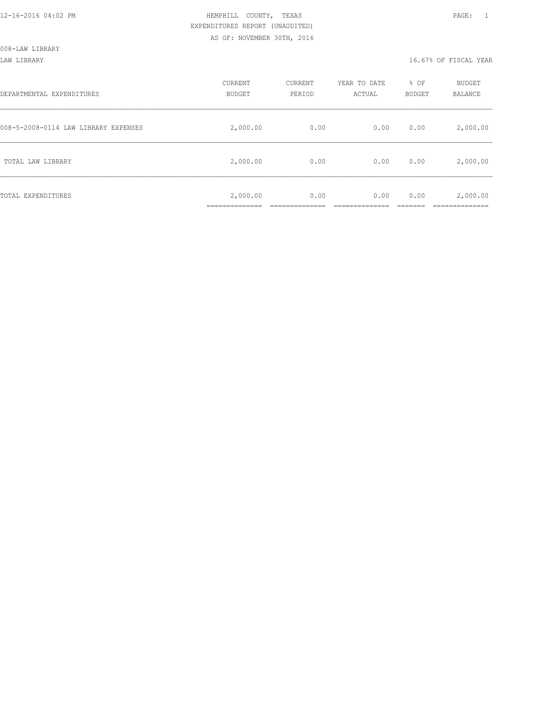LAW LIBRARY 16.67% OF FISCAL YEAR

| DEPARTMENTAL EXPENDITURES            | CURRENT<br><b>BUDGET</b>                  | CURRENT<br>PERIOD | YEAR TO DATE<br>ACTUAL | % OF<br><b>BUDGET</b> | <b>BUDGET</b><br>BALANCE |
|--------------------------------------|-------------------------------------------|-------------------|------------------------|-----------------------|--------------------------|
| 008-5-2008-0114 LAW LIBRARY EXPENSES | 2,000.00                                  | 0.00              | 0.00                   | 0.00                  | 2,000.00                 |
| TOTAL LAW LIBRARY                    | 2,000.00                                  | 0.00              | 0.00                   | 0.00                  | 2,000.00                 |
| TOTAL EXPENDITURES                   | 2,000.00<br>. _ _ _ _ _ _ _ _ _ _ _ _ _ _ | 0.00              | 0.00                   | 0.00                  | 2,000.00                 |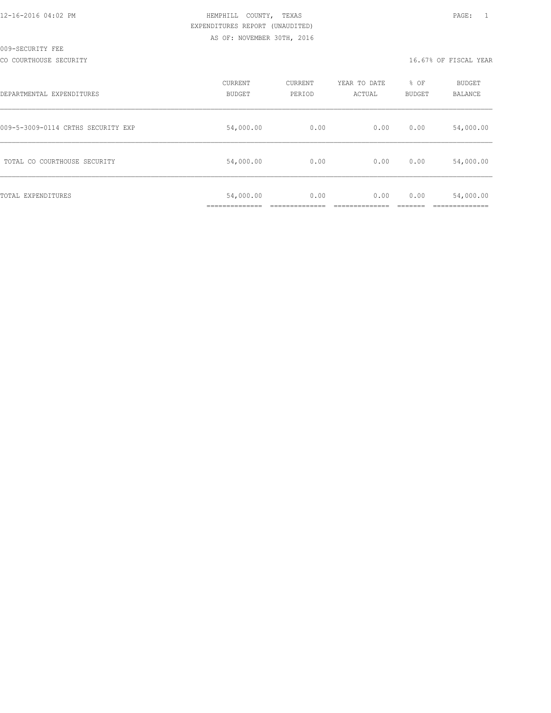CO COURTHOUSE SECURITY CONSULTED AND RELEASE OF SECOND VERMINDS OF SECOND VERMINDS OF SECONDITY

| DEPARTMENTAL EXPENDITURES          | CURRENT<br>BUDGET | CURRENT<br>PERIOD | YEAR TO DATE<br>ACTUAL | % OF<br><b>BUDGET</b> | BUDGET<br><b>BALANCE</b> |
|------------------------------------|-------------------|-------------------|------------------------|-----------------------|--------------------------|
| 009-5-3009-0114 CRTHS SECURITY EXP | 54,000.00         | 0.00              | 0.00                   | 0.00                  | 54,000.00                |
| TOTAL CO COURTHOUSE SECURITY       | 54,000.00         | 0.00              | 0.00                   | 0.00                  | 54,000.00                |
| TOTAL EXPENDITURES                 | 54,000.00         | 0.00              | 0.00                   | 0.00                  | 54,000.00                |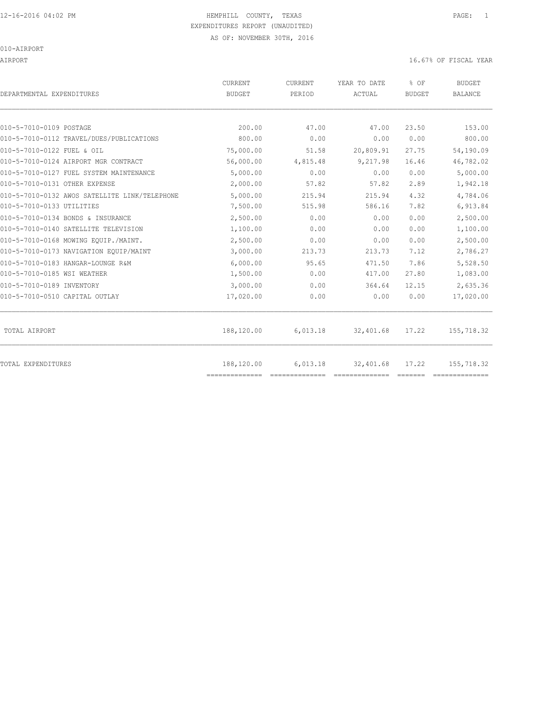AIRPORT 16.67% OF FISCAL YEAR

| DEPARTMENTAL EXPENDITURES                     | CURRENT<br><b>BUDGET</b> | CURRENT<br>PERIOD | YEAR TO DATE<br>ACTUAL | % OF<br><b>BUDGET</b> | <b>BUDGET</b><br>BALANCE |
|-----------------------------------------------|--------------------------|-------------------|------------------------|-----------------------|--------------------------|
|                                               |                          |                   |                        |                       |                          |
| 010-5-7010-0109 POSTAGE                       | 200.00                   | 47.00             | 47.00                  | 23.50                 | 153.00                   |
| 010-5-7010-0112 TRAVEL/DUES/PUBLICATIONS      | 800.00                   | 0.00              | 0.00                   | 0.00                  | 800.00                   |
| 010-5-7010-0122 FUEL & OIL                    | 75,000.00                | 51.58             | 20,809.91              | 27.75                 | 54,190.09                |
| 010-5-7010-0124 AIRPORT MGR CONTRACT          | 56,000.00                | 4,815.48          | 9,217.98               | 16.46                 | 46,782.02                |
| 010-5-7010-0127 FUEL SYSTEM MAINTENANCE       | 5,000.00                 | 0.00              | 0.00                   | 0.00                  | 5,000.00                 |
| 010-5-7010-0131 OTHER EXPENSE                 | 2,000.00                 | 57.82             | 57.82                  | 2.89                  | 1,942.18                 |
| 010-5-7010-0132 AWOS SATELLITE LINK/TELEPHONE | 5,000.00                 | 215.94            | 215.94                 | 4.32                  | 4,784.06                 |
| 010-5-7010-0133 UTILITIES                     | 7,500.00                 | 515.98            | 586.16                 | 7.82                  | 6,913.84                 |
| 010-5-7010-0134 BONDS & INSURANCE             | 2,500.00                 | 0.00              | 0.00                   | 0.00                  | 2,500.00                 |
| 010-5-7010-0140 SATELLITE TELEVISION          | 1,100.00                 | 0.00              | 0.00                   | 0.00                  | 1,100.00                 |
| 010-5-7010-0168 MOWING EOUIP./MAINT.          | 2,500.00                 | 0.00              | 0.00                   | 0.00                  | 2,500.00                 |
| 010-5-7010-0173 NAVIGATION EQUIP/MAINT        | 3,000.00                 | 213.73            | 213.73                 | 7.12                  | 2,786.27                 |
| 010-5-7010-0183 HANGAR-LOUNGE R&M             | 6,000.00                 | 95.65             | 471.50                 | 7.86                  | 5,528.50                 |
| 010-5-7010-0185 WSI WEATHER                   | 1,500.00                 | 0.00              | 417.00                 | 27.80                 | 1,083.00                 |
| 010-5-7010-0189 INVENTORY                     | 3,000.00                 | 0.00              | 364.64                 | 12.15                 | 2,635.36                 |
| 010-5-7010-0510 CAPITAL OUTLAY                | 17,020.00                | 0.00              | 0.00                   | 0.00                  | 17,020.00                |
| TOTAL AIRPORT                                 | 188,120.00               | 6,013.18          | 32,401.68              | 17.22                 | 155,718.32               |
| <b>TOTAL EXPENDITURES</b>                     | 188,120.00               | 6,013.18          | 32,401.68              | 17.22                 | 155,718.32               |
|                                               | ==============           |                   |                        |                       |                          |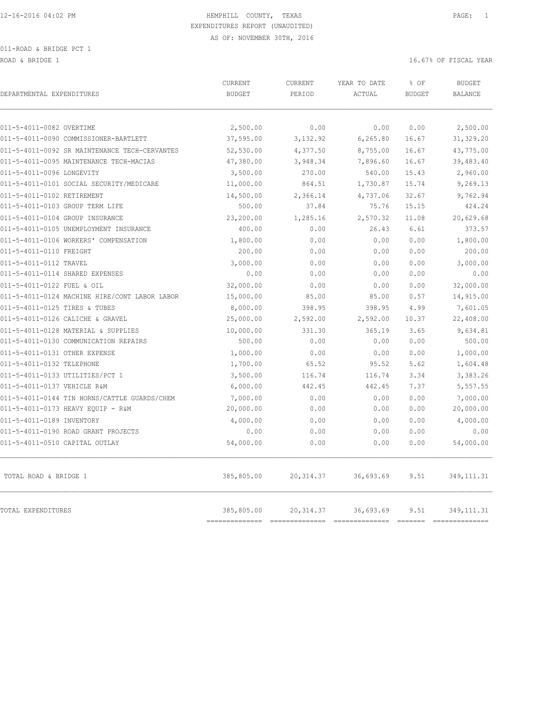ROAD & BRIDGE 1 16.67% OF FISCAL YEAR (16.67% OF FISCAL YEAR)

| DEPARTMENTAL EXPENDITURES                     | CURRENT<br><b>BUDGET</b>  | CURRENT<br>PERIOD | YEAR TO DATE<br>ACTUAL | % OF<br><b>BUDGET</b> | <b>BUDGET</b><br><b>BALANCE</b> |
|-----------------------------------------------|---------------------------|-------------------|------------------------|-----------------------|---------------------------------|
| 011-5-4011-0082 OVERTIME                      | 2,500.00                  | 0.00              | 0.00                   | 0.00                  | 2,500.00                        |
| 011-5-4011-0090 COMMISSIONER-BARTLETT         | 37,595.00                 | 3,132.92          | 6,265.80               | 16.67                 | 31, 329.20                      |
| 011-5-4011-0092 SR MAINTENANCE TECH-CERVANTES | 52,530.00                 | 4,377.50          | 8,755.00               | 16.67                 | 43,775.00                       |
| 011-5-4011-0095 MAINTENANCE TECH-MACIAS       | 47,380.00                 | 3,948.34          | 7,896.60               | 16.67                 | 39,483.40                       |
| 011-5-4011-0096 LONGEVITY                     | 3,500.00                  | 270.00            | 540.00                 | 15.43                 | 2,960.00                        |
| 011-5-4011-0101 SOCIAL SECURITY/MEDICARE      | 11,000.00                 | 864.51            | 1,730.87               | 15.74                 | 9,269.13                        |
| 011-5-4011-0102 RETIREMENT                    | 14,500.00                 | 2,366.14          | 4,737.06               | 32.67                 | 9,762.94                        |
| 011-5-4011-0103 GROUP TERM LIFE               | 500.00                    | 37.84             | 75.76                  | 15.15                 | 424.24                          |
| 011-5-4011-0104 GROUP INSURANCE               | 23,200.00                 | 1,285.16          | 2,570.32               | 11.08                 | 20,629.68                       |
| 011-5-4011-0105 UNEMPLOYMENT INSURANCE        | 400.00                    | 0.00              | 26.43                  | 6.61                  | 373.57                          |
| 011-5-4011-0106 WORKERS' COMPENSATION         | 1,800.00                  | 0.00              | 0.00                   | 0.00                  | 1,800.00                        |
| 011-5-4011-0110 FREIGHT                       | 200.00                    | 0.00              | 0.00                   | 0.00                  | 200.00                          |
| 011-5-4011-0112 TRAVEL                        | 3,000.00                  | 0.00              | 0.00                   | 0.00                  | 3,000.00                        |
| 011-5-4011-0114 SHARED EXPENSES               | 0.00                      | 0.00              | 0.00                   | 0.00                  | 0.00                            |
| 011-5-4011-0122 FUEL & OIL                    | 32,000.00                 | 0.00              | 0.00                   | 0.00                  | 32,000.00                       |
| 011-5-4011-0124 MACHINE HIRE/CONT LABOR LABOR | 15,000.00                 | 85.00             | 85.00                  | 0.57                  | 14,915.00                       |
| 011-5-4011-0125 TIRES & TUBES                 | 8,000.00                  | 398.95            | 398.95                 | 4.99                  | 7,601.05                        |
| 011-5-4011-0126 CALICHE & GRAVEL              | 25,000.00                 | 2,592.00          | 2,592.00               | 10.37                 | 22,408.00                       |
| 011-5-4011-0128 MATERIAL & SUPPLIES           | 10,000.00                 | 331.30            | 365.19                 | 3.65                  | 9,634.81                        |
| 011-5-4011-0130 COMMUNICATION REPAIRS         | 500.00                    | 0.00              | 0.00                   | 0.00                  | 500.00                          |
| 011-5-4011-0131 OTHER EXPENSE                 | 1,000.00                  | 0.00              | 0.00                   | 0.00                  | 1,000.00                        |
| 011-5-4011-0132 TELEPHONE                     | 1,700.00                  | 65.52             | 95.52                  | 5.62                  | 1,604.48                        |
| 011-5-4011-0133 UTILITIES/PCT 1               | 3,500.00                  | 116.74            | 116.74                 | 3.34                  | 3,383.26                        |
| 011-5-4011-0137 VEHICLE R&M                   | 6,000.00                  | 442.45            | 442.45                 | 7.37                  | 5,557.55                        |
| 011-5-4011-0144 TIN HORNS/CATTLE GUARDS/CHEM  | 7,000.00                  | 0.00              | 0.00                   | 0.00                  | 7,000.00                        |
| 011-5-4011-0173 HEAVY EQUIP - R&M             | 20,000.00                 | 0.00              | 0.00                   | 0.00                  | 20,000.00                       |
| 011-5-4011-0189 INVENTORY                     | 4,000.00                  | 0.00              | 0.00                   | 0.00                  | 4,000.00                        |
| 011-5-4011-0190 ROAD GRANT PROJECTS           | 0.00                      | 0.00              | 0.00                   | 0.00                  | 0.00                            |
| 011-5-4011-0510 CAPITAL OUTLAY                | 54,000.00                 | 0.00              | 0.00                   | 0.00                  | 54,000.00                       |
| TOTAL ROAD & BRIDGE 1                         | 385,805.00                | 20,314.37         | 36,693.69              | 9.51                  | 349, 111.31                     |
| <b>TOTAL EXPENDITURES</b>                     | 385,805.00<br>----------- | 20, 314.37        | 36,693.69              | 9.51<br>-------       | 349, 111.31                     |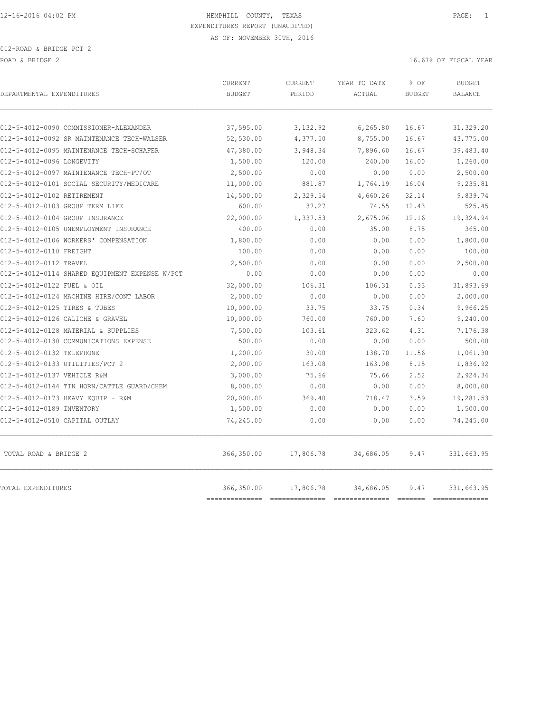| DEPARTMENTAL EXPENDITURES                      | <b>CURRENT</b><br><b>BUDGET</b> | <b>CURRENT</b><br>PERIOD | YEAR TO DATE<br>ACTUAL | % OF<br><b>BUDGET</b> | <b>BUDGET</b><br><b>BALANCE</b> |
|------------------------------------------------|---------------------------------|--------------------------|------------------------|-----------------------|---------------------------------|
| 012-5-4012-0090 COMMISSIONER-ALEXANDER         | 37,595.00                       | 3,132.92                 | 6,265.80               | 16.67                 | 31,329.20                       |
| 012-5-4012-0092 SR MAINTENANCE TECH-WALSER     | 52,530.00                       | 4,377.50                 | 8,755.00               | 16.67                 | 43,775.00                       |
| 012-5-4012-0095 MAINTENANCE TECH-SCHAFER       | 47,380.00                       | 3,948.34                 | 7,896.60               | 16.67                 | 39,483.40                       |
| 012-5-4012-0096 LONGEVITY                      | 1,500.00                        | 120.00                   | 240.00                 | 16.00                 | 1,260.00                        |
| 012-5-4012-0097 MAINTENANCE TECH-PT/OT         | 2,500.00                        | 0.00                     | 0.00                   | 0.00                  | 2,500.00                        |
| 012-5-4012-0101 SOCIAL SECURITY/MEDICARE       | 11,000.00                       | 881.87                   | 1,764.19               | 16.04                 | 9,235.81                        |
| 012-5-4012-0102 RETIREMENT                     | 14,500.00                       | 2,329.54                 | 4,660.26               | 32.14                 | 9,839.74                        |
| 012-5-4012-0103 GROUP TERM LIFE                | 600.00                          | 37.27                    | 74.55                  | 12.43                 | 525.45                          |
| 012-5-4012-0104 GROUP INSURANCE                | 22,000.00                       | 1,337.53                 | 2,675.06               | 12.16                 | 19,324.94                       |
| 012-5-4012-0105 UNEMPLOYMENT INSURANCE         | 400.00                          | 0.00                     | 35.00                  | 8.75                  | 365.00                          |
| 012-5-4012-0106 WORKERS' COMPENSATION          | 1,800.00                        | 0.00                     | 0.00                   | 0.00                  | 1,800.00                        |
| 012-5-4012-0110 FREIGHT                        | 100.00                          | 0.00                     | 0.00                   | 0.00                  | 100.00                          |
| 012-5-4012-0112 TRAVEL                         | 2,500.00                        | 0.00                     | 0.00                   | 0.00                  | 2,500.00                        |
| 012-5-4012-0114 SHARED EQUIPMENT EXPENSE W/PCT | 0.00                            | 0.00                     | 0.00                   | 0.00                  | 0.00                            |
| 012-5-4012-0122 FUEL & OIL                     | 32,000.00                       | 106.31                   | 106.31                 | 0.33                  | 31,893.69                       |
| 012-5-4012-0124 MACHINE HIRE/CONT LABOR        | 2,000.00                        | 0.00                     | 0.00                   | 0.00                  | 2,000.00                        |
| 012-5-4012-0125 TIRES & TUBES                  | 10,000.00                       | 33.75                    | 33.75                  | 0.34                  | 9,966.25                        |
| 012-5-4012-0126 CALICHE & GRAVEL               | 10,000.00                       | 760.00                   | 760.00                 | 7.60                  | 9,240.00                        |
| 012-5-4012-0128 MATERIAL & SUPPLIES            | 7,500.00                        | 103.61                   | 323.62                 | 4.31                  | 7,176.38                        |
| 012-5-4012-0130 COMMUNICATIONS EXPENSE         | 500.00                          | 0.00                     | 0.00                   | 0.00                  | 500.00                          |
| 012-5-4012-0132 TELEPHONE                      | 1,200.00                        | 30.00                    | 138.70                 | 11.56                 | 1,061.30                        |
| 012-5-4012-0133 UTILITIES/PCT 2                | 2,000.00                        | 163.08                   | 163.08                 | 8.15                  | 1,836.92                        |
| 012-5-4012-0137 VEHICLE R&M                    | 3,000.00                        | 75.66                    | 75.66                  | 2.52                  | 2,924.34                        |
| 012-5-4012-0144 TIN HORN/CATTLE GUARD/CHEM     | 8,000.00                        | 0.00                     | 0.00                   | 0.00                  | 8,000.00                        |
| 012-5-4012-0173 HEAVY EQUIP - R&M              | 20,000.00                       | 369.40                   | 718.47                 | 3.59                  | 19,281.53                       |
| 012-5-4012-0189 INVENTORY                      | 1,500.00                        | 0.00                     | 0.00                   | 0.00                  | 1,500.00                        |
| 012-5-4012-0510 CAPITAL OUTLAY                 | 74,245.00                       | 0.00                     | 0.00                   | 0.00                  | 74,245.00                       |
| TOTAL ROAD & BRIDGE 2                          | 366,350.00                      | 17,806.78                | 34,686.05              | 9.47                  | 331,663.95                      |
| TOTAL EXPENDITURES                             | 366,350.00<br>===========       | 17,806.78                | 34,686.05              | 9.47<br>--------      | 331,663.95<br>-----------       |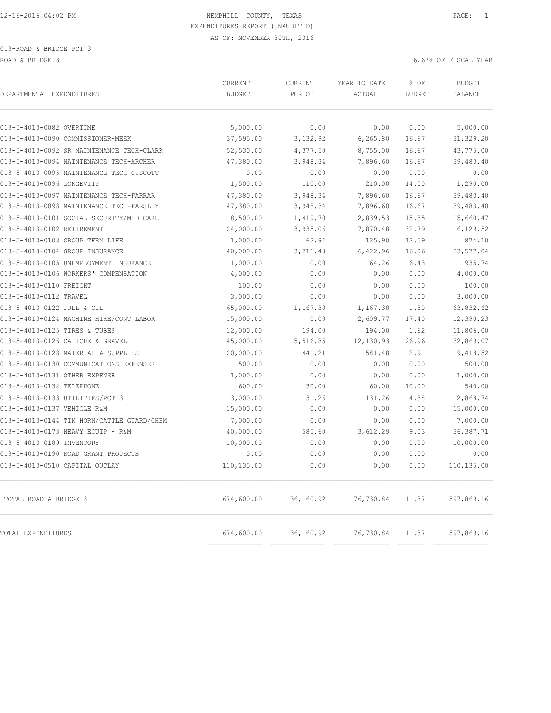| DEPARTMENTAL EXPENDITURES                  | CURRENT<br><b>BUDGET</b>    | <b>CURRENT</b><br>PERIOD | YEAR TO DATE<br>ACTUAL | % OF<br><b>BUDGET</b> | <b>BUDGET</b><br><b>BALANCE</b> |
|--------------------------------------------|-----------------------------|--------------------------|------------------------|-----------------------|---------------------------------|
| 013-5-4013-0082 OVERTIME                   | 5,000.00                    | 0.00                     | 0.00                   | 0.00                  | 5,000.00                        |
| 013-5-4013-0090 COMMISSIONER-MEEK          | 37,595.00                   | 3,132.92                 | 6, 265.80              | 16.67                 | 31,329.20                       |
| 013-5-4013-0092 SR MAINTENANCE TECH-CLARK  | 52,530.00                   | 4,377.50                 | 8,755.00               | 16.67                 | 43,775.00                       |
| 013-5-4013-0094 MAINTENANCE TECH-ARCHER    | 47,380.00                   | 3,948.34                 | 7,896.60               | 16.67                 | 39,483.40                       |
| 013-5-4013-0095 MAINTENANCE TECH-G.SCOTT   | 0.00                        | 0.00                     | 0.00                   | 0.00                  | 0.00                            |
| 013-5-4013-0096 LONGEVITY                  | 1,500.00                    | 110.00                   | 210.00                 | 14.00                 | 1,290.00                        |
| 013-5-4013-0097 MAINTENANCE TECH-FARRAR    | 47,380.00                   | 3,948.34                 | 7,896.60               | 16.67                 | 39,483.40                       |
| 013-5-4013-0098 MAINTENANCE TECH-PARSLEY   | 47,380.00                   | 3,948.34                 | 7,896.60               | 16.67                 | 39,483.40                       |
| 013-5-4013-0101 SOCIAL SECURITY/MEDICARE   | 18,500.00                   | 1,419.70                 | 2,839.53               | 15.35                 | 15,660.47                       |
| 013-5-4013-0102 RETIREMENT                 | 24,000.00                   | 3,935.06                 | 7,870.48               | 32.79                 | 16,129.52                       |
| 013-5-4013-0103 GROUP TERM LIFE            | 1,000.00                    | 62.94                    | 125.90                 | 12.59                 | 874.10                          |
| 013-5-4013-0104 GROUP INSURANCE            | 40,000.00                   | 3,211.48                 | 6,422.96               | 16.06                 | 33,577.04                       |
| 013-5-4013-0105 UNEMPLOYMENT INSURANCE     | 1,000.00                    | 0.00                     | 64.26                  | 6.43                  | 935.74                          |
| 013-5-4013-0106 WORKERS' COMPENSATION      | 4,000.00                    | 0.00                     | 0.00                   | 0.00                  | 4,000.00                        |
| 013-5-4013-0110 FREIGHT                    | 100.00                      | 0.00                     | 0.00                   | 0.00                  | 100.00                          |
| 013-5-4013-0112 TRAVEL                     | 3,000.00                    | 0.00                     | 0.00                   | 0.00                  | 3,000.00                        |
| 013-5-4013-0122 FUEL & OIL                 | 65,000.00                   | 1,167.38                 | 1,167.38               | 1.80                  | 63,832.62                       |
| 013-5-4013-0124 MACHINE HIRE/CONT LABOR    | 15,000.00                   | 0.00                     | 2,609.77               | 17.40                 | 12,390.23                       |
| 013-5-4013-0125 TIRES & TUBES              | 12,000.00                   | 194.00                   | 194.00                 | 1.62                  | 11,806.00                       |
| 013-5-4013-0126 CALICHE & GRAVEL           | 45,000.00                   | 5,516.85                 | 12, 130.93             | 26.96                 | 32,869.07                       |
| 013-5-4013-0128 MATERIAL & SUPPLIES        | 20,000.00                   | 441.21                   | 581.48                 | 2.91                  | 19,418.52                       |
| 013-5-4013-0130 COMMUNICATIONS EXPENSES    | 500.00                      | 0.00                     | 0.00                   | 0.00                  | 500.00                          |
| 013-5-4013-0131 OTHER EXPENSE              | 1,000.00                    | 0.00                     | 0.00                   | 0.00                  | 1,000.00                        |
| 013-5-4013-0132 TELEPHONE                  | 600.00                      | 30.00                    | 60.00                  | 10.00                 | 540.00                          |
| 013-5-4013-0133 UTILITIES/PCT 3            | 3,000.00                    | 131.26                   | 131.26                 | 4.38                  | 2,868.74                        |
| 013-5-4013-0137 VEHICLE R&M                | 15,000.00                   | 0.00                     | 0.00                   | 0.00                  | 15,000.00                       |
| 013-5-4013-0144 TIN HORN/CATTLE GUARD/CHEM | 7,000.00                    | 0.00                     | 0.00                   | 0.00                  | 7,000.00                        |
| 013-5-4013-0173 HEAVY EQUIP - R&M          | 40,000.00                   | 585.60                   | 3,612.29               | 9.03                  | 36, 387.71                      |
| 013-5-4013-0189 INVENTORY                  | 10,000.00                   | 0.00                     | 0.00                   | 0.00                  | 10,000.00                       |
| 013-5-4013-0190 ROAD GRANT PROJECTS        | 0.00                        | 0.00                     | 0.00                   | 0.00                  | 0.00                            |
| 013-5-4013-0510 CAPITAL OUTLAY             | 110,135.00                  | 0.00                     | 0.00                   | 0.00                  | 110,135.00                      |
| TOTAL ROAD & BRIDGE 3                      | 674,600.00                  | 36,160.92                | 76,730.84              | 11.37                 | 597,869.16                      |
| TOTAL EXPENDITURES                         | 674,600.00<br>============= | 36,160.92                | 76,730.84              | 11.37                 | 597,869.16                      |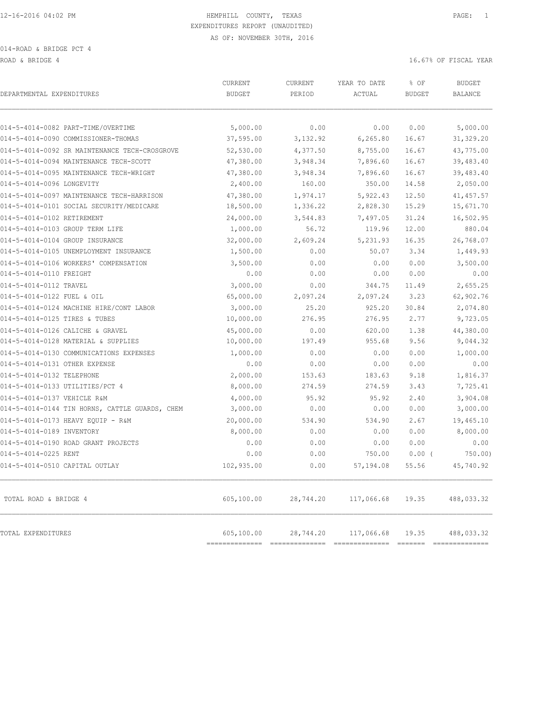ROAD & BRIDGE 4 16.67% OF FISCAL YEAR (1999) AND ROAD & BRIDGE 4

| DEPARTMENTAL EXPENDITURES                      | <b>CURRENT</b><br><b>BUDGET</b> | CURRENT<br>PERIOD | YEAR TO DATE<br>ACTUAL                                                                                                                                                                                                                                                                                                                                                                                                                                                                                                                                                         | % OF<br><b>BUDGET</b> | <b>BUDGET</b><br><b>BALANCE</b> |
|------------------------------------------------|---------------------------------|-------------------|--------------------------------------------------------------------------------------------------------------------------------------------------------------------------------------------------------------------------------------------------------------------------------------------------------------------------------------------------------------------------------------------------------------------------------------------------------------------------------------------------------------------------------------------------------------------------------|-----------------------|---------------------------------|
|                                                |                                 |                   |                                                                                                                                                                                                                                                                                                                                                                                                                                                                                                                                                                                |                       |                                 |
| 014-5-4014-0082 PART-TIME/OVERTIME             | 5,000.00                        | 0.00              | 0.00                                                                                                                                                                                                                                                                                                                                                                                                                                                                                                                                                                           | 0.00                  | 5,000.00                        |
| 014-5-4014-0090 COMMISSIONER-THOMAS            | 37,595.00                       | 3,132.92          | 6,265.80                                                                                                                                                                                                                                                                                                                                                                                                                                                                                                                                                                       | 16.67                 | 31,329.20                       |
| 014-5-4014-0092 SR MAINTENANCE TECH-CROSGROVE  | 52,530.00                       | 4,377.50          | 8,755.00                                                                                                                                                                                                                                                                                                                                                                                                                                                                                                                                                                       | 16.67                 | 43,775.00                       |
| 014-5-4014-0094 MAINTENANCE TECH-SCOTT         | 47,380.00                       | 3,948.34          | 7,896.60                                                                                                                                                                                                                                                                                                                                                                                                                                                                                                                                                                       | 16.67                 | 39,483.40                       |
| 014-5-4014-0095 MAINTENANCE TECH-WRIGHT        | 47,380.00                       | 3,948.34          | 7,896.60                                                                                                                                                                                                                                                                                                                                                                                                                                                                                                                                                                       | 16.67                 | 39,483.40                       |
| 014-5-4014-0096 LONGEVITY                      | 2,400.00                        | 160.00            | 350.00                                                                                                                                                                                                                                                                                                                                                                                                                                                                                                                                                                         | 14.58                 | 2,050.00                        |
| 014-5-4014-0097 MAINTENANCE TECH-HARRISON      | 47,380.00                       | 1,974.17          | 5,922.43                                                                                                                                                                                                                                                                                                                                                                                                                                                                                                                                                                       | 12.50                 | 41, 457.57                      |
| 014-5-4014-0101 SOCIAL SECURITY/MEDICARE       | 18,500.00                       | 1,336.22          | 2,828.30                                                                                                                                                                                                                                                                                                                                                                                                                                                                                                                                                                       | 15.29                 | 15,671.70                       |
| 014-5-4014-0102 RETIREMENT                     | 24,000.00                       | 3,544.83          | 7,497.05                                                                                                                                                                                                                                                                                                                                                                                                                                                                                                                                                                       | 31.24                 | 16,502.95                       |
| 014-5-4014-0103 GROUP TERM LIFE                | 1,000.00                        | 56.72             | 119.96                                                                                                                                                                                                                                                                                                                                                                                                                                                                                                                                                                         | 12.00                 | 880.04                          |
| 014-5-4014-0104 GROUP INSURANCE                | 32,000.00                       | 2,609.24          | 5, 231.93                                                                                                                                                                                                                                                                                                                                                                                                                                                                                                                                                                      | 16.35                 | 26,768.07                       |
| 014-5-4014-0105 UNEMPLOYMENT INSURANCE         | 1,500.00                        | 0.00              | 50.07                                                                                                                                                                                                                                                                                                                                                                                                                                                                                                                                                                          | 3.34                  | 1,449.93                        |
| 014-5-4014-0106 WORKERS' COMPENSATION          | 3,500.00                        | 0.00              | 0.00                                                                                                                                                                                                                                                                                                                                                                                                                                                                                                                                                                           | 0.00                  | 3,500.00                        |
| 014-5-4014-0110 FREIGHT                        | 0.00                            | 0.00              | 0.00                                                                                                                                                                                                                                                                                                                                                                                                                                                                                                                                                                           | 0.00                  | 0.00                            |
| 014-5-4014-0112 TRAVEL                         | 3,000.00                        | 0.00              | 344.75                                                                                                                                                                                                                                                                                                                                                                                                                                                                                                                                                                         | 11.49                 | 2,655.25                        |
| 014-5-4014-0122 FUEL & OIL                     | 65,000.00                       | 2,097.24          | 2,097.24                                                                                                                                                                                                                                                                                                                                                                                                                                                                                                                                                                       | 3.23                  | 62,902.76                       |
| 014-5-4014-0124 MACHINE HIRE/CONT LABOR        | 3,000.00                        | 25.20             | 925.20                                                                                                                                                                                                                                                                                                                                                                                                                                                                                                                                                                         | 30.84                 | 2,074.80                        |
| 014-5-4014-0125 TIRES & TUBES                  | 10,000.00                       | 276.95            | 276.95                                                                                                                                                                                                                                                                                                                                                                                                                                                                                                                                                                         | 2.77                  | 9,723.05                        |
| 014-5-4014-0126 CALICHE & GRAVEL               | 45,000.00                       | 0.00              | 620.00                                                                                                                                                                                                                                                                                                                                                                                                                                                                                                                                                                         | 1.38                  | 44,380.00                       |
| 014-5-4014-0128 MATERIAL & SUPPLIES            | 10,000.00                       | 197.49            | 955.68                                                                                                                                                                                                                                                                                                                                                                                                                                                                                                                                                                         | 9.56                  | 9,044.32                        |
| 014-5-4014-0130 COMMUNICATIONS EXPENSES        | 1,000.00                        | 0.00              | 0.00                                                                                                                                                                                                                                                                                                                                                                                                                                                                                                                                                                           | 0.00                  | 1,000.00                        |
| 014-5-4014-0131 OTHER EXPENSE                  | 0.00                            | 0.00              | 0.00                                                                                                                                                                                                                                                                                                                                                                                                                                                                                                                                                                           | 0.00                  | 0.00                            |
| 014-5-4014-0132 TELEPHONE                      | 2,000.00                        | 153.63            | 183.63                                                                                                                                                                                                                                                                                                                                                                                                                                                                                                                                                                         | 9.18                  | 1,816.37                        |
| 014-5-4014-0133 UTILITIES/PCT 4                | 8,000.00                        | 274.59            | 274.59                                                                                                                                                                                                                                                                                                                                                                                                                                                                                                                                                                         | 3.43                  | 7,725.41                        |
| 014-5-4014-0137 VEHICLE R&M                    | 4,000.00                        | 95.92             | 95.92                                                                                                                                                                                                                                                                                                                                                                                                                                                                                                                                                                          | 2.40                  | 3,904.08                        |
| 014-5-4014-0144 TIN HORNS, CATTLE GUARDS, CHEM | 3,000.00                        | 0.00              | 0.00                                                                                                                                                                                                                                                                                                                                                                                                                                                                                                                                                                           | 0.00                  | 3,000.00                        |
| 014-5-4014-0173 HEAVY EQUIP - R&M              | 20,000.00                       | 534.90            | 534.90                                                                                                                                                                                                                                                                                                                                                                                                                                                                                                                                                                         | 2.67                  | 19,465.10                       |
| 014-5-4014-0189 INVENTORY                      | 8,000.00                        | 0.00              | 0.00                                                                                                                                                                                                                                                                                                                                                                                                                                                                                                                                                                           | 0.00                  | 8,000.00                        |
| 014-5-4014-0190 ROAD GRANT PROJECTS            | 0.00                            | 0.00              | 0.00                                                                                                                                                                                                                                                                                                                                                                                                                                                                                                                                                                           | 0.00                  | 0.00                            |
| 014-5-4014-0225 RENT                           | 0.00                            | 0.00              | 750.00                                                                                                                                                                                                                                                                                                                                                                                                                                                                                                                                                                         | 0.00(                 | 750.00)                         |
| 014-5-4014-0510 CAPITAL OUTLAY                 | 102,935.00                      | 0.00              | 57, 194.08                                                                                                                                                                                                                                                                                                                                                                                                                                                                                                                                                                     | 55.56                 | 45,740.92                       |
| TOTAL ROAD & BRIDGE 4                          | 605,100.00                      | 28,744.20         | 117,066.68                                                                                                                                                                                                                                                                                                                                                                                                                                                                                                                                                                     | 19.35                 | 488,033.32                      |
| TOTAL EXPENDITURES                             | 605,100.00<br>===========       | 28,744.20         | 117,066.68<br>$\begin{tabular}{lllllllllllll} \multicolumn{2}{l}{{\color{red}{{\color{red}{{\color{magenta}{\color{black}{{\color{magenta}{\color{black}{{\color{magenta}{\color{black}{{\color{black}{{\color{black}{{\color{black}{{\color{black}{{\color{black}{{\color{black}{{\color{black}{{\color{black}{{\color{black}{{\color{black}{{\color{black}{{\color{black}{{\color{black}{{\color{black}{{\color{black}{{\color{black}{{\color{black}{{\color{black}{{\color{black}{{\color{black}{{\color{black}{{\color{black}{{\color{black}{{\color{black}{{\color{black$ | 19.35                 | 488,033.32<br>$= 22222222222$   |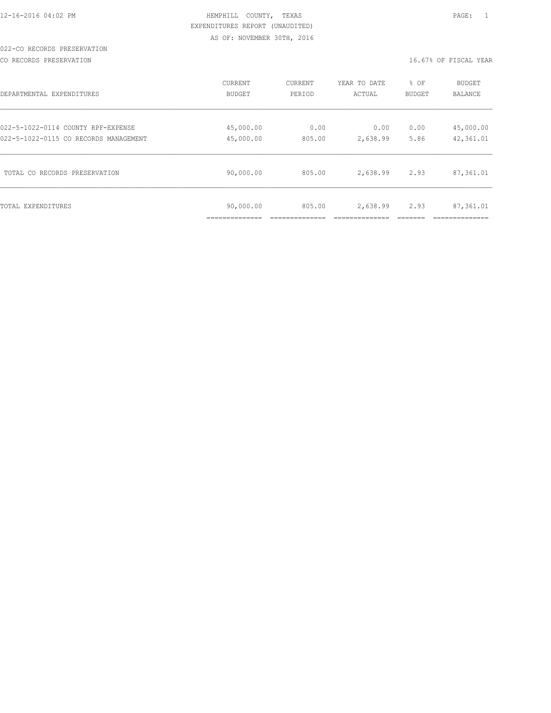# 022-CO RECORDS PRESERVATION

CO RECORDS PRESERVATION 16.67% OF FISCAL YEAR

| DEPARTMENTAL EXPENDITURES             | <b>CURRENT</b>            | <b>CURRENT</b> | YEAR TO DATE | % OF          | <b>BUDGET</b>  |
|---------------------------------------|---------------------------|----------------|--------------|---------------|----------------|
|                                       | <b>BUDGET</b>             | PERIOD         | ACTUAL       | <b>BUDGET</b> | <b>BALANCE</b> |
| 022-5-1022-0114 COUNTY RPF-EXPENSE    | 45,000.00                 | 0.00           | 0.00         | 0.00          | 45,000.00      |
| 022-5-1022-0115 CO RECORDS MANAGEMENT | 45,000.00                 | 805.00         | 2,638.99     | 5.86          | 42,361.01      |
| TOTAL CO RECORDS PRESERVATION         | 90,000.00                 | 805.00         | 2,638.99     | 2.93          | 87,361.01      |
| TOTAL EXPENDITURES                    | 90,000.00<br>____________ | 805.00         | 2,638.99     | 2.93          | 87,361.01      |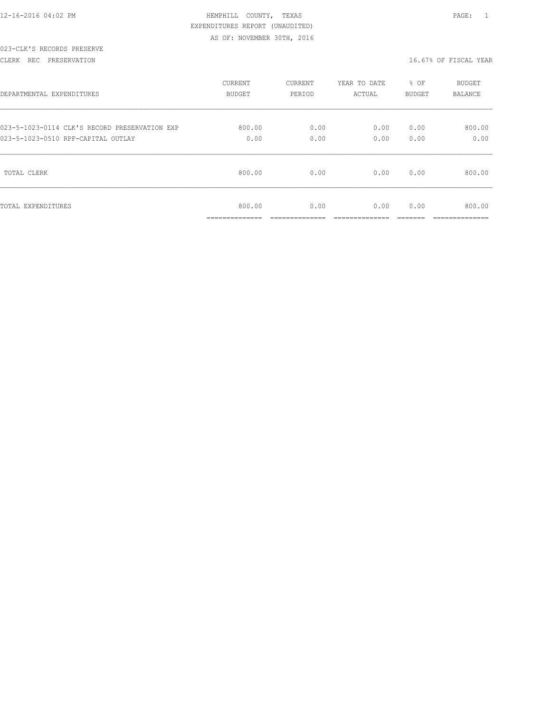|  |  |  |  | 12-16-2016 04:02 PM |  |
|--|--|--|--|---------------------|--|
|  |  |  |  |                     |  |

# 023-CLK'S RECORDS PRESERVE

### CLERK REC PRESERVATION 16.67% OF FISCAL YEAR

| DEPARTMENTAL EXPENDITURES                     | <b>CURRENT</b>                        | CURRENT                | YEAR TO DATE          | % OF          | <b>BUDGET</b>            |
|-----------------------------------------------|---------------------------------------|------------------------|-----------------------|---------------|--------------------------|
|                                               | <b>BUDGET</b>                         | PERIOD                 | ACTUAL                | BUDGET        | <b>BALANCE</b>           |
| 023-5-1023-0114 CLK'S RECORD PRESERVATION EXP | 800.00                                | 0.00                   | 0.00                  | 0.00          | 800.00                   |
| 023-5-1023-0510 RPF-CAPITAL OUTLAY            | 0.00                                  | 0.00                   | 0.00                  | 0.00          | 0.00                     |
| TOTAL CLERK                                   | 800.00                                | 0.00                   | 0.00                  | 0.00          | 800.00                   |
| TOTAL EXPENDITURES                            | 800.00<br>______________<br>--------- | 0.00<br>______________ | 0.00<br>_____________ | 0.00<br>_____ | 800.00<br>______________ |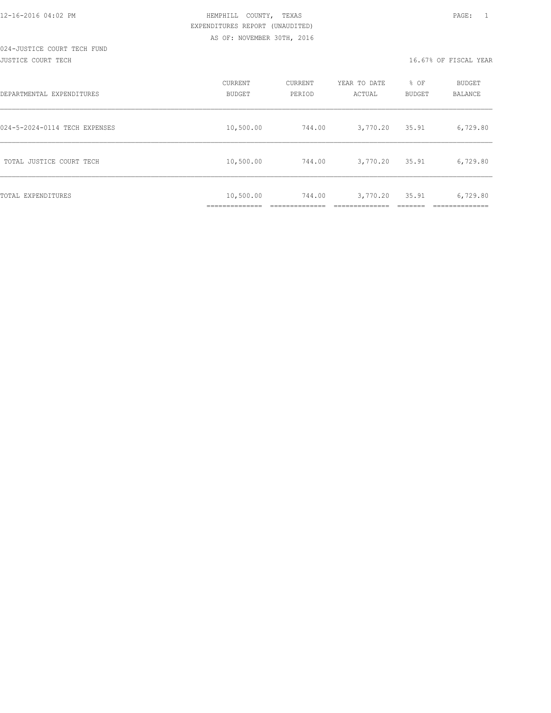# 024-JUSTICE COURT TECH FUND

JUSTICE COURT TECH 16.67% OF FISCAL YEAR

| DEPARTMENTAL EXPENDITURES     | CURRENT<br><b>BUDGET</b> | CURRENT<br>PERIOD | YEAR TO DATE<br>ACTUAL | % OF<br><b>BUDGET</b> | <b>BUDGET</b><br>BALANCE |
|-------------------------------|--------------------------|-------------------|------------------------|-----------------------|--------------------------|
| 024-5-2024-0114 TECH EXPENSES | 10,500.00                | 744.00            | 3,770.20               | 35.91                 | 6,729.80                 |
| TOTAL JUSTICE COURT TECH      | 10,500.00                | 744.00            | 3,770.20               | 35.91                 | 6,729.80                 |
| TOTAL EXPENDITURES            | 10,500.00                | 744.00            | 3,770.20               | 35.91                 | 6,729.80                 |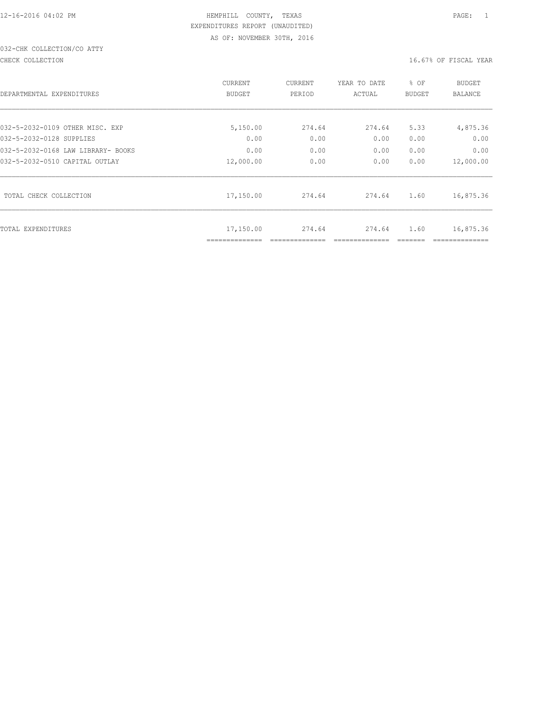# 032-CHK COLLECTION/CO ATTY

CHECK COLLECTION CHECK COLLECTION

| DEPARTMENTAL EXPENDITURES          | CURRENT<br><b>BUDGET</b> | CURRENT<br>PERIOD | YEAR TO DATE<br>ACTUAL | % OF<br><b>BUDGET</b> | <b>BUDGET</b><br><b>BALANCE</b> |
|------------------------------------|--------------------------|-------------------|------------------------|-----------------------|---------------------------------|
| 032-5-2032-0109 OTHER MISC. EXP    | 5,150.00                 | 274.64            | 274.64                 | 5.33                  | 4,875.36                        |
| 032-5-2032-0128 SUPPLIES           | 0.00                     | 0.00              | 0.00                   | 0.00                  | 0.00                            |
| 032-5-2032-0168 LAW LIBRARY- BOOKS | 0.00                     | 0.00              | 0.00                   | 0.00                  | 0.00                            |
| 032-5-2032-0510 CAPITAL OUTLAY     | 12,000.00                | 0.00              | 0.00                   | 0.00                  | 12,000.00                       |
| TOTAL CHECK COLLECTION             | 17,150.00                | 274.64            | 274.64                 | 1.60                  | 16,875.36                       |
| TOTAL EXPENDITURES                 | 17,150.00                | 274.64            | 274.64                 | 1.60                  | 16,875.36                       |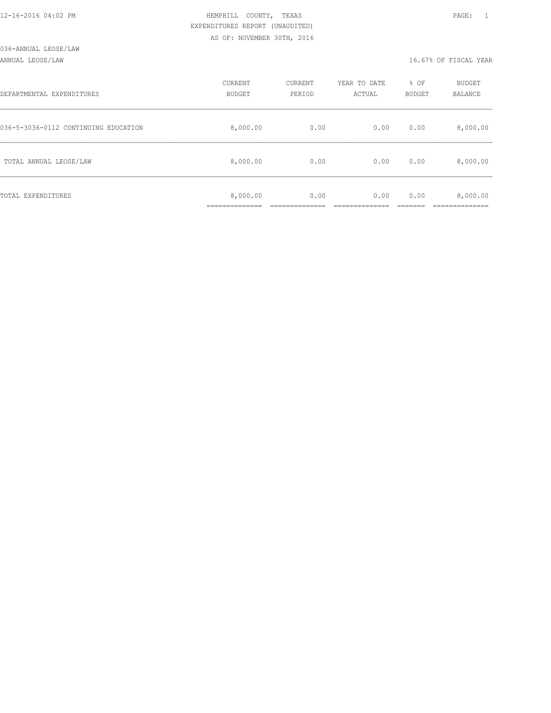#### ANNUAL LEOSE/LAW 16.67% OF FISCAL YEAR

| DEPARTMENTAL EXPENDITURES            | CURRENT<br><b>BUDGET</b> | CURRENT<br>PERIOD | YEAR TO DATE<br>ACTUAL | % OF<br>BUDGET | BUDGET<br>BALANCE |
|--------------------------------------|--------------------------|-------------------|------------------------|----------------|-------------------|
| 036-5-3036-0112 CONTINUING EDUCATION | 8,000.00                 | 0.00              | 0.00                   | 0.00           | 8,000.00          |
| TOTAL ANNUAL LEOSE/LAW               | 8,000.00                 | 0.00              | 0.00                   | 0.00           | 8,000.00          |
| TOTAL EXPENDITURES                   | 8,000.00<br>___________  | 0.00              | 0.00                   | 0.00           | 8,000.00          |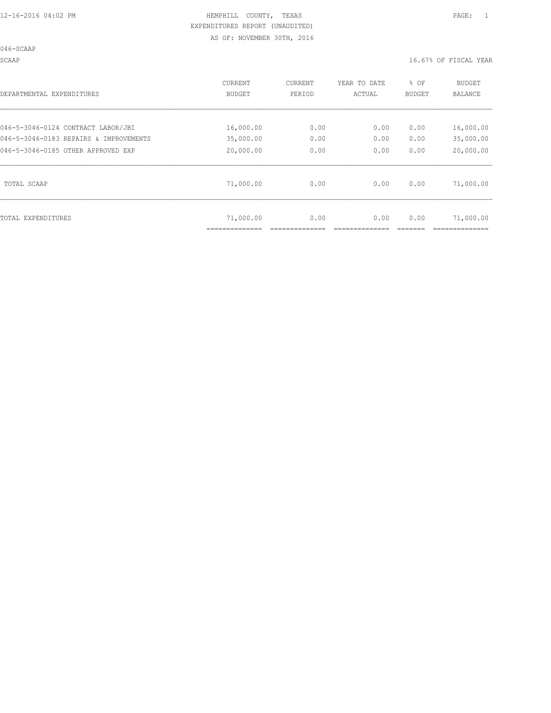046-SCAAP

SCAAP 16.67% OF FISCAL YEAR

| DEPARTMENTAL EXPENDITURES              | <b>CURRENT</b><br><b>BUDGET</b> | CURRENT<br>PERIOD | YEAR TO DATE<br>ACTUAL | % OF<br><b>BUDGET</b> | BUDGET<br><b>BALANCE</b> |
|----------------------------------------|---------------------------------|-------------------|------------------------|-----------------------|--------------------------|
| 046-5-3046-0124 CONTRACT LABOR/JBI     | 16,000.00                       | 0.00              | 0.00                   | 0.00                  | 16,000.00                |
| 046-5-3046-0183 REPAIRS & IMPROVEMENTS | 35,000.00                       | 0.00              | 0.00                   | 0.00                  | 35,000.00                |
| 046-5-3046-0185 OTHER APPROVED EXP     | 20,000.00                       | 0.00              | 0.00                   | 0.00                  | 20,000.00                |
| TOTAL SCAAP                            | 71,000.00                       | 0.00              | 0.00                   | 0.00                  | 71,000.00                |
| TOTAL EXPENDITURES                     | 71,000.00                       | 0.00              | 0.00                   | 0.00                  | 71,000.00                |